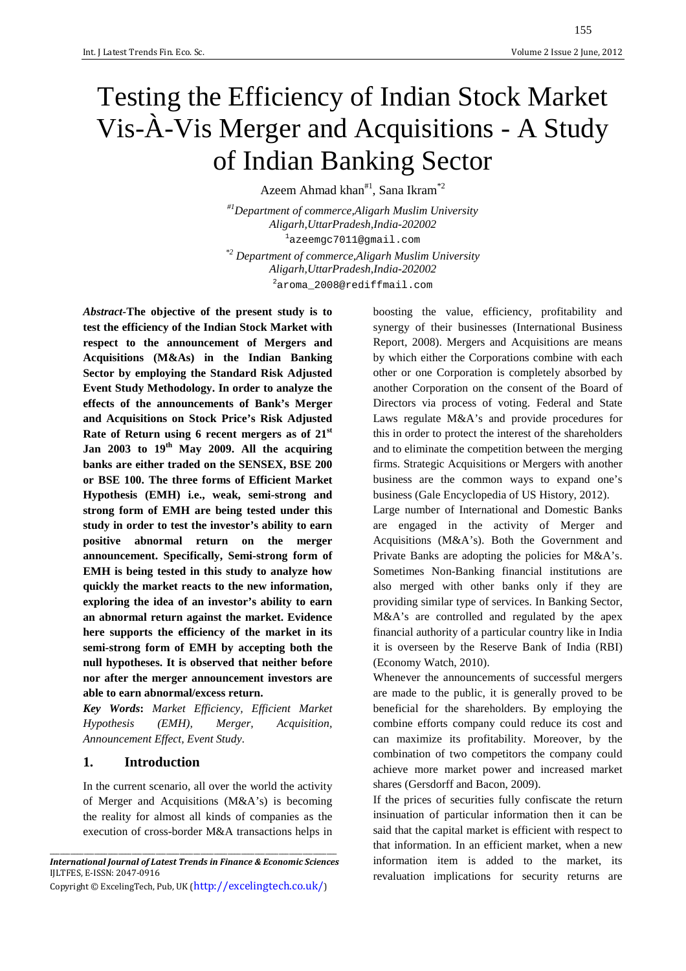# Testing the Efficiency of Indian Stock Market Vis-À-Vis Merger and Acquisitions - A Study of Indian Banking Sector

Azeem Ahmad khan<sup>#1</sup>, Sana Ikram<sup>\*2</sup>

*#1Department of commerce,Aligarh Muslim University Aligarh,UttarPradesh,India-202002*  <sup>1</sup>azeemgc7011@gmail.com

*\*2 Department of commerce,Aligarh Muslim University Aligarh,UttarPradesh,India-202002*  <sup>2</sup>aroma\_2008@rediffmail.com

*Abstract-***The objective of the present study is to test the efficiency of the Indian Stock Market with respect to the announcement of Mergers and Acquisitions (M&As) in the Indian Banking Sector by employing the Standard Risk Adjusted Event Study Methodology. In order to analyze the effects of the announcements of Bank's Merger and Acquisitions on Stock Price's Risk Adjusted Rate of Return using 6 recent mergers as of 21st Jan 2003 to 19th May 2009. All the acquiring banks are either traded on the SENSEX, BSE 200 or BSE 100. The three forms of Efficient Market Hypothesis (EMH) i.e., weak, semi-strong and strong form of EMH are being tested under this study in order to test the investor's ability to earn positive abnormal return on the merger announcement. Specifically, Semi-strong form of EMH is being tested in this study to analyze how quickly the market reacts to the new information, exploring the idea of an investor's ability to earn an abnormal return against the market. Evidence here supports the efficiency of the market in its semi-strong form of EMH by accepting both the null hypotheses. It is observed that neither before nor after the merger announcement investors are able to earn abnormal/excess return.** 

*Key Words***:** *Market Efficiency, Efficient Market Hypothesis (EMH), Merger, Acquisition, Announcement Effect, Event Study*.

#### **1. Introduction**

In the current scenario, all over the world the activity of Merger and Acquisitions (M&A's) is becoming the reality for almost all kinds of companies as the execution of cross-border M&A transactions helps in

boosting the value, efficiency, profitability and synergy of their businesses (International Business Report, 2008). Mergers and Acquisitions are means by which either the Corporations combine with each other or one Corporation is completely absorbed by another Corporation on the consent of the Board of Directors via process of voting. Federal and State Laws regulate M&A's and provide procedures for this in order to protect the interest of the shareholders and to eliminate the competition between the merging firms. Strategic Acquisitions or Mergers with another business are the common ways to expand one's business (Gale Encyclopedia of US History, 2012).

Large number of International and Domestic Banks are engaged in the activity of Merger and Acquisitions (M&A's). Both the Government and Private Banks are adopting the policies for M&A's. Sometimes Non-Banking financial institutions are also merged with other banks only if they are providing similar type of services. In Banking Sector, M&A's are controlled and regulated by the apex financial authority of a particular country like in India it is overseen by the Reserve Bank of India (RBI) (Economy Watch, 2010).

Whenever the announcements of successful mergers are made to the public, it is generally proved to be beneficial for the shareholders. By employing the combine efforts company could reduce its cost and can maximize its profitability. Moreover, by the combination of two competitors the company could achieve more market power and increased market shares (Gersdorff and Bacon, 2009).

If the prices of securities fully confiscate the return insinuation of particular information then it can be said that the capital market is efficient with respect to that information. In an efficient market, when a new information item is added to the market, its revaluation implications for security returns are

\_\_\_\_\_\_\_\_\_\_\_\_\_\_\_\_\_\_\_\_\_\_\_\_\_\_\_\_\_\_\_\_\_\_\_\_\_\_\_\_\_\_\_\_\_\_\_\_\_\_\_\_\_\_\_\_\_\_\_\_\_\_\_\_\_\_\_\_\_\_\_\_\_\_\_\_\_\_\_\_\_\_\_\_ *International Journal of Latest Trends in Finance & Economic Sciences*  IJLTFES, E-ISSN: 2047-0916 Copyright © ExcelingTech, Pub, UK (http://excelingtech.co.uk/)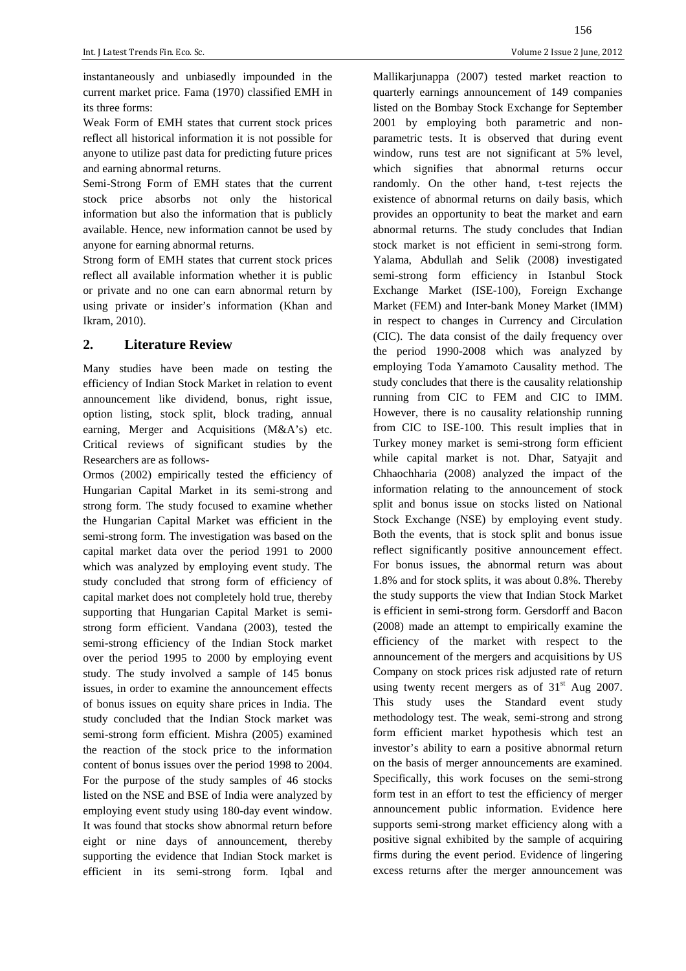instantaneously and unbiasedly impounded in the current market price. Fama (1970) classified EMH in its three forms:

Weak Form of EMH states that current stock prices reflect all historical information it is not possible for anyone to utilize past data for predicting future prices and earning abnormal returns.

Semi-Strong Form of EMH states that the current stock price absorbs not only the historical information but also the information that is publicly available. Hence, new information cannot be used by anyone for earning abnormal returns.

Strong form of EMH states that current stock prices reflect all available information whether it is public or private and no one can earn abnormal return by using private or insider's information (Khan and Ikram, 2010).

## **2. Literature Review**

Many studies have been made on testing the efficiency of Indian Stock Market in relation to event announcement like dividend, bonus, right issue, option listing, stock split, block trading, annual earning, Merger and Acquisitions (M&A's) etc. Critical reviews of significant studies by the Researchers are as follows-

Ormos (2002) empirically tested the efficiency of Hungarian Capital Market in its semi-strong and strong form. The study focused to examine whether the Hungarian Capital Market was efficient in the semi-strong form. The investigation was based on the capital market data over the period 1991 to 2000 which was analyzed by employing event study. The study concluded that strong form of efficiency of capital market does not completely hold true, thereby supporting that Hungarian Capital Market is semistrong form efficient. Vandana (2003), tested the semi-strong efficiency of the Indian Stock market over the period 1995 to 2000 by employing event study. The study involved a sample of 145 bonus issues, in order to examine the announcement effects of bonus issues on equity share prices in India. The study concluded that the Indian Stock market was semi-strong form efficient. Mishra (2005) examined the reaction of the stock price to the information content of bonus issues over the period 1998 to 2004. For the purpose of the study samples of 46 stocks listed on the NSE and BSE of India were analyzed by employing event study using 180-day event window. It was found that stocks show abnormal return before eight or nine days of announcement, thereby supporting the evidence that Indian Stock market is efficient in its semi-strong form. Iqbal and Mallikarjunappa (2007) tested market reaction to quarterly earnings announcement of 149 companies listed on the Bombay Stock Exchange for September 2001 by employing both parametric and nonparametric tests. It is observed that during event window, runs test are not significant at 5% level, which signifies that abnormal returns occur randomly. On the other hand, t-test rejects the existence of abnormal returns on daily basis, which provides an opportunity to beat the market and earn abnormal returns. The study concludes that Indian stock market is not efficient in semi-strong form. Yalama, Abdullah and Selik (2008) investigated semi-strong form efficiency in Istanbul Stock Exchange Market (ISE-100), Foreign Exchange Market (FEM) and Inter-bank Money Market (IMM) in respect to changes in Currency and Circulation (CIC). The data consist of the daily frequency over the period 1990-2008 which was analyzed by employing Toda Yamamoto Causality method. The study concludes that there is the causality relationship running from CIC to FEM and CIC to IMM. However, there is no causality relationship running from CIC to ISE-100. This result implies that in Turkey money market is semi-strong form efficient while capital market is not. Dhar, Satyajit and Chhaochharia (2008) analyzed the impact of the information relating to the announcement of stock split and bonus issue on stocks listed on National Stock Exchange (NSE) by employing event study. Both the events, that is stock split and bonus issue reflect significantly positive announcement effect. For bonus issues, the abnormal return was about 1.8% and for stock splits, it was about 0.8%. Thereby the study supports the view that Indian Stock Market is efficient in semi-strong form. Gersdorff and Bacon (2008) made an attempt to empirically examine the efficiency of the market with respect to the announcement of the mergers and acquisitions by US Company on stock prices risk adjusted rate of return using twenty recent mergers as of  $31<sup>st</sup>$  Aug 2007. This study uses the Standard event study methodology test. The weak, semi-strong and strong form efficient market hypothesis which test an investor's ability to earn a positive abnormal return on the basis of merger announcements are examined. Specifically, this work focuses on the semi-strong form test in an effort to test the efficiency of merger announcement public information. Evidence here supports semi-strong market efficiency along with a positive signal exhibited by the sample of acquiring firms during the event period. Evidence of lingering excess returns after the merger announcement was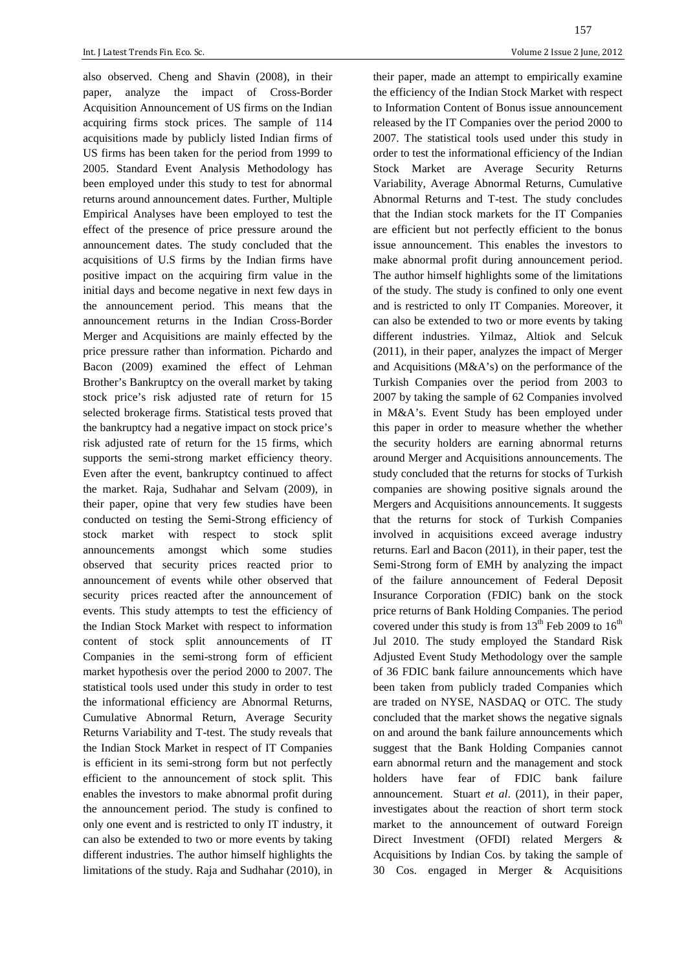also observed. Cheng and Shavin (2008), in their paper, analyze the impact of Cross-Border Acquisition Announcement of US firms on the Indian acquiring firms stock prices. The sample of 114 acquisitions made by publicly listed Indian firms of US firms has been taken for the period from 1999 to 2005. Standard Event Analysis Methodology has been employed under this study to test for abnormal returns around announcement dates. Further, Multiple Empirical Analyses have been employed to test the effect of the presence of price pressure around the announcement dates. The study concluded that the acquisitions of U.S firms by the Indian firms have positive impact on the acquiring firm value in the initial days and become negative in next few days in the announcement period. This means that the announcement returns in the Indian Cross-Border Merger and Acquisitions are mainly effected by the price pressure rather than information. Pichardo and Bacon (2009) examined the effect of Lehman Brother's Bankruptcy on the overall market by taking stock price's risk adjusted rate of return for 15 selected brokerage firms. Statistical tests proved that the bankruptcy had a negative impact on stock price's risk adjusted rate of return for the 15 firms, which supports the semi-strong market efficiency theory. Even after the event, bankruptcy continued to affect the market. Raja, Sudhahar and Selvam (2009), in their paper, opine that very few studies have been conducted on testing the Semi-Strong efficiency of stock market with respect to stock split announcements amongst which some studies observed that security prices reacted prior to announcement of events while other observed that security prices reacted after the announcement of events. This study attempts to test the efficiency of the Indian Stock Market with respect to information content of stock split announcements of IT Companies in the semi-strong form of efficient market hypothesis over the period 2000 to 2007. The statistical tools used under this study in order to test the informational efficiency are Abnormal Returns, Cumulative Abnormal Return, Average Security Returns Variability and T-test. The study reveals that the Indian Stock Market in respect of IT Companies is efficient in its semi-strong form but not perfectly efficient to the announcement of stock split. This enables the investors to make abnormal profit during the announcement period. The study is confined to only one event and is restricted to only IT industry, it can also be extended to two or more events by taking different industries. The author himself highlights the limitations of the study. Raja and Sudhahar (2010), in

their paper, made an attempt to empirically examine the efficiency of the Indian Stock Market with respect to Information Content of Bonus issue announcement released by the IT Companies over the period 2000 to 2007. The statistical tools used under this study in order to test the informational efficiency of the Indian Stock Market are Average Security Returns Variability, Average Abnormal Returns, Cumulative Abnormal Returns and T-test. The study concludes that the Indian stock markets for the IT Companies are efficient but not perfectly efficient to the bonus issue announcement. This enables the investors to make abnormal profit during announcement period. The author himself highlights some of the limitations of the study. The study is confined to only one event and is restricted to only IT Companies. Moreover, it can also be extended to two or more events by taking different industries. Yilmaz, Altiok and Selcuk (2011), in their paper, analyzes the impact of Merger and Acquisitions (M&A's) on the performance of the Turkish Companies over the period from 2003 to 2007 by taking the sample of 62 Companies involved in M&A's. Event Study has been employed under this paper in order to measure whether the whether the security holders are earning abnormal returns around Merger and Acquisitions announcements. The study concluded that the returns for stocks of Turkish companies are showing positive signals around the Mergers and Acquisitions announcements. It suggests that the returns for stock of Turkish Companies involved in acquisitions exceed average industry returns. Earl and Bacon (2011), in their paper, test the Semi-Strong form of EMH by analyzing the impact of the failure announcement of Federal Deposit Insurance Corporation (FDIC) bank on the stock price returns of Bank Holding Companies. The period covered under this study is from  $13<sup>th</sup>$  Feb 2009 to  $16<sup>th</sup>$ Jul 2010. The study employed the Standard Risk Adjusted Event Study Methodology over the sample of 36 FDIC bank failure announcements which have been taken from publicly traded Companies which are traded on NYSE, NASDAQ or OTC. The study concluded that the market shows the negative signals on and around the bank failure announcements which suggest that the Bank Holding Companies cannot earn abnormal return and the management and stock holders have fear of FDIC bank failure announcement. Stuart *et al*. (2011), in their paper, investigates about the reaction of short term stock market to the announcement of outward Foreign Direct Investment (OFDI) related Mergers & Acquisitions by Indian Cos. by taking the sample of 30 Cos. engaged in Merger & Acquisitions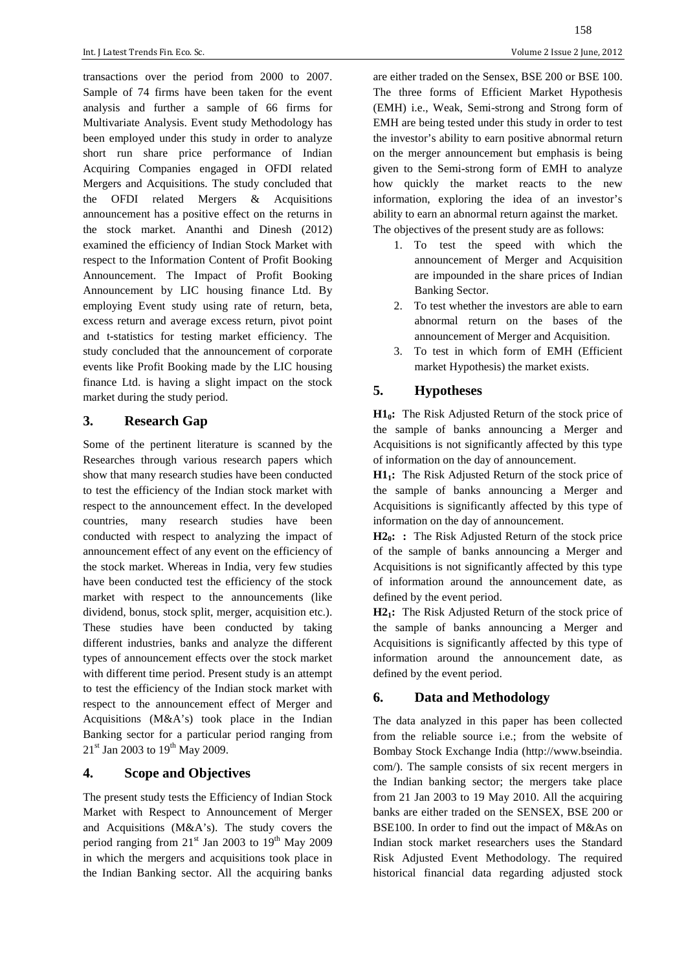transactions over the period from 2000 to 2007. Sample of 74 firms have been taken for the event analysis and further a sample of 66 firms for Multivariate Analysis. Event study Methodology has been employed under this study in order to analyze short run share price performance of Indian Acquiring Companies engaged in OFDI related Mergers and Acquisitions. The study concluded that the OFDI related Mergers & Acquisitions announcement has a positive effect on the returns in the stock market. Ananthi and Dinesh (2012) examined the efficiency of Indian Stock Market with respect to the Information Content of Profit Booking Announcement. The Impact of Profit Booking Announcement by LIC housing finance Ltd. By employing Event study using rate of return, beta, excess return and average excess return, pivot point and t-statistics for testing market efficiency. The study concluded that the announcement of corporate events like Profit Booking made by the LIC housing finance Ltd. is having a slight impact on the stock market during the study period.

## **3. Research Gap**

Some of the pertinent literature is scanned by the Researches through various research papers which show that many research studies have been conducted to test the efficiency of the Indian stock market with respect to the announcement effect. In the developed countries, many research studies have been conducted with respect to analyzing the impact of announcement effect of any event on the efficiency of the stock market. Whereas in India, very few studies have been conducted test the efficiency of the stock market with respect to the announcements (like dividend, bonus, stock split, merger, acquisition etc.). These studies have been conducted by taking different industries, banks and analyze the different types of announcement effects over the stock market with different time period. Present study is an attempt to test the efficiency of the Indian stock market with respect to the announcement effect of Merger and Acquisitions (M&A's) took place in the Indian Banking sector for a particular period ranging from  $21<sup>st</sup>$  Jan 2003 to  $19<sup>th</sup>$  May 2009.

## **4. Scope and Objectives**

The present study tests the Efficiency of Indian Stock Market with Respect to Announcement of Merger and Acquisitions (M&A's). The study covers the period ranging from  $21<sup>st</sup>$  Jan 2003 to  $19<sup>th</sup>$  May 2009 in which the mergers and acquisitions took place in the Indian Banking sector. All the acquiring banks

158

are either traded on the Sensex, BSE 200 or BSE 100. The three forms of Efficient Market Hypothesis (EMH) i.e., Weak, Semi-strong and Strong form of EMH are being tested under this study in order to test the investor's ability to earn positive abnormal return on the merger announcement but emphasis is being given to the Semi-strong form of EMH to analyze how quickly the market reacts to the new information, exploring the idea of an investor's ability to earn an abnormal return against the market. The objectives of the present study are as follows:

- 1. To test the speed with which the announcement of Merger and Acquisition are impounded in the share prices of Indian Banking Sector.
- 2. To test whether the investors are able to earn abnormal return on the bases of the announcement of Merger and Acquisition.
- 3. To test in which form of EMH (Efficient market Hypothesis) the market exists.

# **5. Hypotheses**

**H10:** The Risk Adjusted Return of the stock price of the sample of banks announcing a Merger and Acquisitions is not significantly affected by this type of information on the day of announcement.

**H11:** The Risk Adjusted Return of the stock price of the sample of banks announcing a Merger and Acquisitions is significantly affected by this type of information on the day of announcement.

**H20: :** The Risk Adjusted Return of the stock price of the sample of banks announcing a Merger and Acquisitions is not significantly affected by this type of information around the announcement date, as defined by the event period.

**H21:** The Risk Adjusted Return of the stock price of the sample of banks announcing a Merger and Acquisitions is significantly affected by this type of information around the announcement date, as defined by the event period.

# **6. Data and Methodology**

The data analyzed in this paper has been collected from the reliable source i.e.; from the website of Bombay Stock Exchange India (http://www.bseindia. com/). The sample consists of six recent mergers in the Indian banking sector; the mergers take place from 21 Jan 2003 to 19 May 2010. All the acquiring banks are either traded on the SENSEX, BSE 200 or BSE100. In order to find out the impact of M&As on Indian stock market researchers uses the Standard Risk Adjusted Event Methodology. The required historical financial data regarding adjusted stock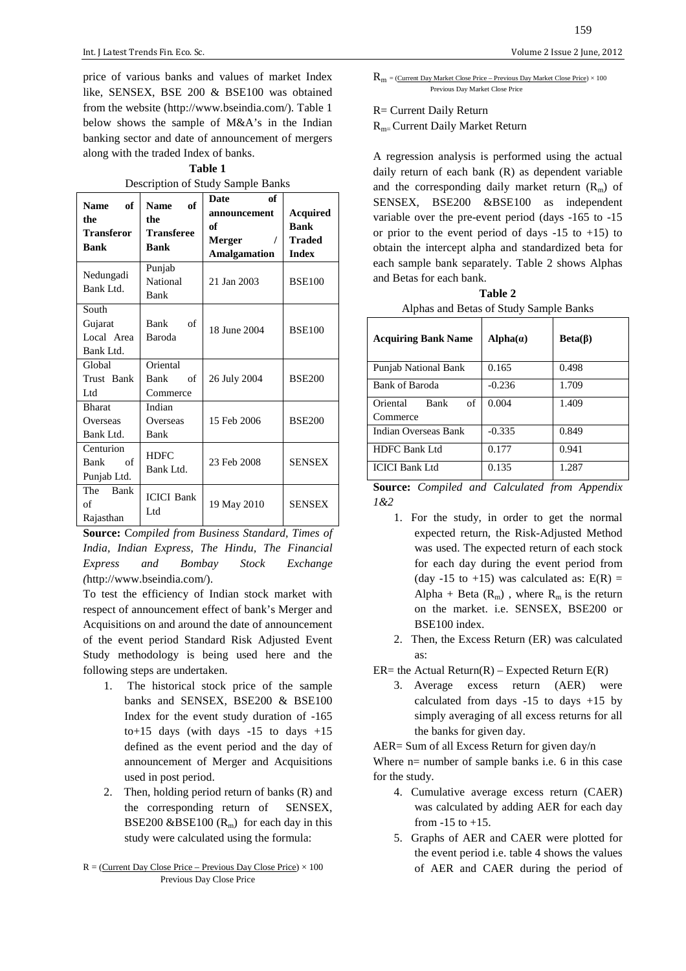price of various banks and values of market Index like, SENSEX, BSE 200 & BSE100 was obtained from the website (http://www.bseindia.com/). Table 1 below shows the sample of M&A's in the Indian banking sector and date of announcement of mergers along with the traded Index of banks.

**Table 1**  Description of Study Sample Banks

| of<br><b>Name</b><br>the<br><b>Transferor</b><br><b>Bank</b> | of<br><b>Name</b><br>the<br><b>Transferee</b><br>Bank | <b>Date</b><br>of<br>announcement<br>of<br>Merger<br><b>Amalgamation</b> | Acquired<br><b>Bank</b><br><b>Traded</b><br><b>Index</b> |
|--------------------------------------------------------------|-------------------------------------------------------|--------------------------------------------------------------------------|----------------------------------------------------------|
| Nedungadi<br>Bank Ltd.                                       | Punjab<br>National<br>Bank                            | 21 Jan 2003                                                              | <b>BSE100</b>                                            |
| South<br>Gujarat<br>Local Area<br>Bank Ltd.                  | Bank<br>of<br>Baroda                                  | 18 June 2004                                                             | <b>BSE100</b>                                            |
| Global<br>Trust Bank<br>Ltd                                  | Oriental<br>Bank<br>of<br>Commerce                    | 26 July 2004                                                             | <b>BSE200</b>                                            |
| <b>Bharat</b><br>Overseas<br>Bank Ltd.                       | Indian<br>Overseas<br>Bank                            | 15 Feb 2006                                                              | <b>BSE200</b>                                            |
| Centurion<br>of<br>Bank<br>Punjab Ltd.                       | <b>HDFC</b><br>Bank Ltd.                              | 23 Feb 2008                                                              | <b>SENSEX</b>                                            |
| The<br>Bank<br>of<br>Rajasthan                               | <b>ICICI Bank</b><br>Ltd                              | 19 May 2010                                                              | <b>SENSEX</b>                                            |

**Source:** C*ompiled from Business Standard, Times of India, Indian Express, The Hindu, The Financial Express and Bombay Stock Exchange (*http://www.bseindia.com/).

To test the efficiency of Indian stock market with respect of announcement effect of bank's Merger and Acquisitions on and around the date of announcement of the event period Standard Risk Adjusted Event Study methodology is being used here and the following steps are undertaken.

- 1. The historical stock price of the sample banks and SENSEX, BSE200 & BSE100 Index for the event study duration of -165 to+15 days (with days  $-15$  to days  $+15$ defined as the event period and the day of announcement of Merger and Acquisitions used in post period.
- 2. Then, holding period return of banks (R) and the corresponding return of SENSEX, BSE200 &BSE100  $(R_m)$  for each day in this study were calculated using the formula:
- $R =$  (Current Day Close Price Previous Day Close Price)  $\times$  100 Previous Day Close Price

159

 $R_m = (Current Day Market Close Price - Previous Day Market Close Price) \times 100$ Previous Day Market Close Price

R= Current Daily Return

Rm= Current Daily Market Return

A regression analysis is performed using the actual daily return of each bank (R) as dependent variable and the corresponding daily market return  $(R<sub>m</sub>)$  of SENSEX, BSE200 &BSE100 as independent variable over the pre-event period (days -165 to -15 or prior to the event period of days  $-15$  to  $+15$ ) to obtain the intercept alpha and standardized beta for each sample bank separately. Table 2 shows Alphas and Betas for each bank.

| Table 2                                |
|----------------------------------------|
| Alphas and Betas of Study Sample Banks |

| <b>Acquiring Bank Name</b>                | $Alpha(\alpha)$ | $Beta(\beta)$ |  |  |
|-------------------------------------------|-----------------|---------------|--|--|
| <b>Punjab National Bank</b>               | 0.165           | 0.498         |  |  |
| Bank of Baroda                            | $-0.236$        | 1.709         |  |  |
| of<br>Oriental<br><b>Bank</b><br>Commerce | 0.004           | 1.409         |  |  |
| Indian Overseas Bank                      | $-0.335$        | 0.849         |  |  |
| <b>HDFC Bank Ltd</b>                      | 0.177           | 0.941         |  |  |
| <b>ICICI Bank Ltd</b>                     | 0.135           | 1.287         |  |  |

**Source:** *Compiled and Calculated from Appendix 1&2* 

- 1. For the study, in order to get the normal expected return, the Risk-Adjusted Method was used. The expected return of each stock for each day during the event period from (day -15 to +15) was calculated as:  $E(R) =$ Alpha + Beta  $(R_m)$ , where  $R_m$  is the return on the market. i.e. SENSEX, BSE200 or BSE100 index.
- 2. Then, the Excess Return (ER) was calculated as:
- $ER$  = the Actual Return(R) Expected Return  $E(R)$ 
	- 3. Average excess return (AER) were calculated from days  $-15$  to days  $+15$  by simply averaging of all excess returns for all the banks for given day.

AER= Sum of all Excess Return for given day/n

Where  $n=$  number of sample banks i.e. 6 in this case for the study.

- 4. Cumulative average excess return (CAER) was calculated by adding AER for each day from  $-15$  to  $+15$ .
- 5. Graphs of AER and CAER were plotted for the event period i.e. table 4 shows the values of AER and CAER during the period of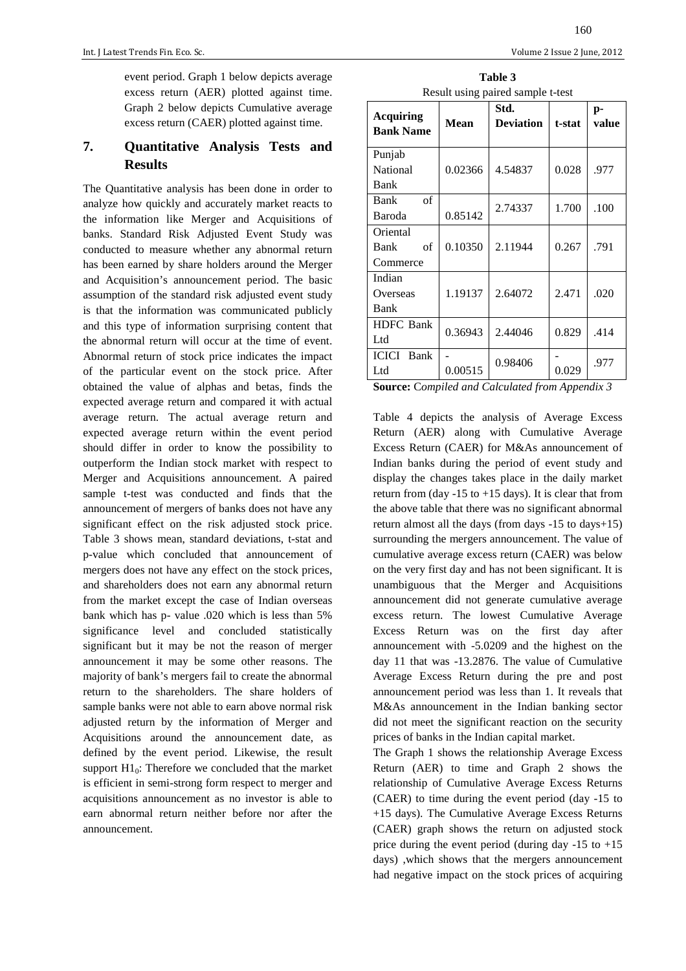event period. Graph 1 below depicts average excess return (AER) plotted against time. Graph 2 below depicts Cumulative average excess return (CAER) plotted against time.

# **7. Quantitative Analysis Tests and Results**

The Quantitative analysis has been done in order to analyze how quickly and accurately market reacts to the information like Merger and Acquisitions of banks. Standard Risk Adjusted Event Study was conducted to measure whether any abnormal return has been earned by share holders around the Merger and Acquisition's announcement period. The basic assumption of the standard risk adjusted event study is that the information was communicated publicly and this type of information surprising content that the abnormal return will occur at the time of event. Abnormal return of stock price indicates the impact of the particular event on the stock price. After obtained the value of alphas and betas, finds the expected average return and compared it with actual average return. The actual average return and expected average return within the event period should differ in order to know the possibility to outperform the Indian stock market with respect to Merger and Acquisitions announcement. A paired sample t-test was conducted and finds that the announcement of mergers of banks does not have any significant effect on the risk adjusted stock price. Table 3 shows mean, standard deviations, t-stat and p-value which concluded that announcement of mergers does not have any effect on the stock prices, and shareholders does not earn any abnormal return from the market except the case of Indian overseas bank which has p- value .020 which is less than 5% significance level and concluded statistically significant but it may be not the reason of merger announcement it may be some other reasons. The majority of bank's mergers fail to create the abnormal return to the shareholders. The share holders of sample banks were not able to earn above normal risk adjusted return by the information of Merger and Acquisitions around the announcement date, as defined by the event period. Likewise, the result support  $H1_0$ : Therefore we concluded that the market is efficient in semi-strong form respect to merger and acquisitions announcement as no investor is able to earn abnormal return neither before nor after the announcement.

**Table 3**  Result using paired sample t-test

| <b>Acquiring</b>  |             | Std.             |        | $p-$  |
|-------------------|-------------|------------------|--------|-------|
| <b>Bank Name</b>  | <b>Mean</b> | <b>Deviation</b> | t-stat | value |
| Punjab            |             |                  |        |       |
| National          | 0.02366     | 4.54837          | 0.028  | .977  |
| Bank              |             |                  |        |       |
| of<br>Bank        |             | 2.74337          | 1.700  | .100  |
| Baroda            | 0.85142     |                  |        |       |
| Oriental          |             |                  |        |       |
| of<br>Bank        | 0.10350     | 2.11944          | 0.267  | .791  |
| Commerce          |             |                  |        |       |
| Indian            |             |                  |        |       |
| Overseas          | 1.19137     | 2.64072          | 2.471  | .020  |
| Bank              |             |                  |        |       |
| <b>HDFC</b> Bank  | 0.36943     | 2.44046          | 0.829  | .414  |
| Ltd               |             |                  |        |       |
| <b>ICICI</b> Bank |             | 0.98406          |        | .977  |
| Ltd               | 0.00515     |                  | 0.029  |       |

**Source:** C*ompiled and Calculated from Appendix 3*

Table 4 depicts the analysis of Average Excess Return (AER) along with Cumulative Average Excess Return (CAER) for M&As announcement of Indian banks during the period of event study and display the changes takes place in the daily market return from (day  $-15$  to  $+15$  days). It is clear that from the above table that there was no significant abnormal return almost all the days (from days -15 to days+15) surrounding the mergers announcement. The value of cumulative average excess return (CAER) was below on the very first day and has not been significant. It is unambiguous that the Merger and Acquisitions announcement did not generate cumulative average excess return. The lowest Cumulative Average Excess Return was on the first day after announcement with -5.0209 and the highest on the day 11 that was -13.2876. The value of Cumulative Average Excess Return during the pre and post announcement period was less than 1. It reveals that M&As announcement in the Indian banking sector did not meet the significant reaction on the security prices of banks in the Indian capital market.

The Graph 1 shows the relationship Average Excess Return (AER) to time and Graph 2 shows the relationship of Cumulative Average Excess Returns (CAER) to time during the event period (day -15 to +15 days). The Cumulative Average Excess Returns (CAER) graph shows the return on adjusted stock price during the event period (during day  $-15$  to  $+15$ ) days) ,which shows that the mergers announcement had negative impact on the stock prices of acquiring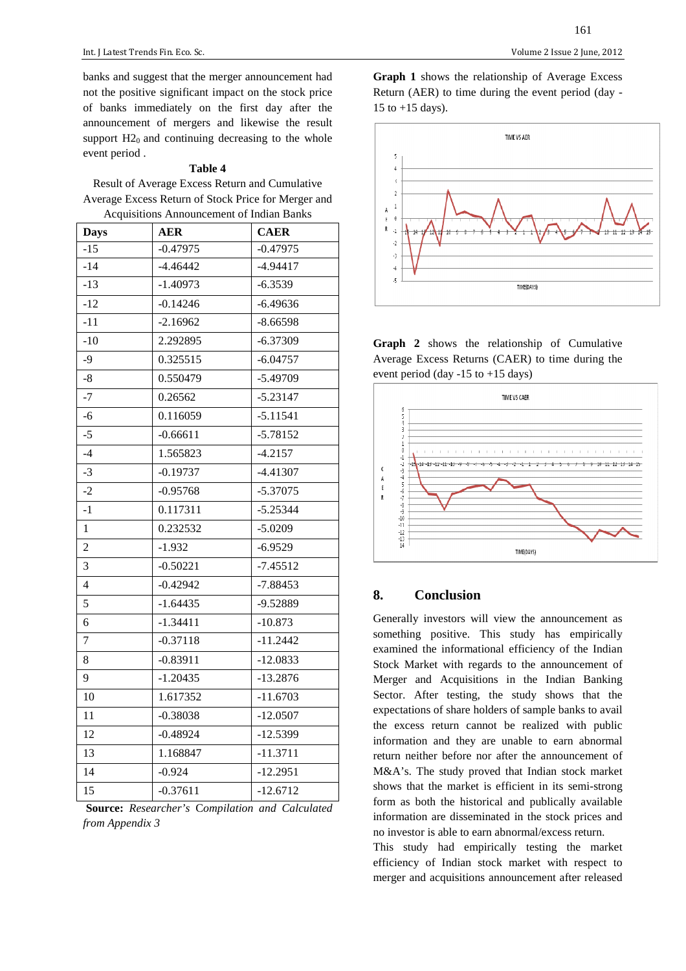Int. J Latest Trends Fin. Eco. Sc. Volume 2 Issue 2 June, 2012

banks and suggest that the merger announcement had not the positive significant impact on the stock price of banks immediately on the first day after the announcement of mergers and likewise the result support  $H2_0$  and continuing decreasing to the whole event period .

#### **Table 4**

Result of Average Excess Return and Cumulative Average Excess Return of Stock Price for Merger and Acquisitions Announcement of Indian Banks

| <b>Days</b>    | <b>AER</b> | <b>CAER</b> |
|----------------|------------|-------------|
| $-15$          | $-0.47975$ | $-0.47975$  |
| $-14$          | $-4.46442$ | $-4.94417$  |
| $-13$          | $-1.40973$ | $-6.3539$   |
| $-12$          | $-0.14246$ | $-6.49636$  |
| $-11$          | $-2.16962$ | $-8.66598$  |
| $-10$          | 2.292895   | $-6.37309$  |
| $-9$           | 0.325515   | $-6.04757$  |
| $-8$           | 0.550479   | $-5.49709$  |
| $-7$           | 0.26562    | $-5.23147$  |
| $-6$           | 0.116059   | $-5.11541$  |
| $-5$           | $-0.66611$ | $-5.78152$  |
| $-4$           | 1.565823   | $-4.2157$   |
| $-3$           | $-0.19737$ | $-4.41307$  |
| $-2$           | $-0.95768$ | $-5.37075$  |
| $-1$           | 0.117311   | $-5.25344$  |
| $\mathbf{1}$   | 0.232532   | $-5.0209$   |
| $\overline{2}$ | $-1.932$   | $-6.9529$   |
| 3              | $-0.50221$ | $-7.45512$  |
| $\overline{4}$ | $-0.42942$ | $-7.88453$  |
| 5              | $-1.64435$ | -9.52889    |
| 6              | $-1.34411$ | $-10.873$   |
| $\overline{7}$ | $-0.37118$ | $-11.2442$  |
| 8              | $-0.83911$ | $-12.0833$  |
| 9              | $-1.20435$ | $-13.2876$  |
| 10             | 1.617352   | $-11.6703$  |
| 11             | $-0.38038$ | $-12.0507$  |
| 12             | $-0.48924$ | $-12.5399$  |
| 13             | 1.168847   | $-11.3711$  |
| 14             | $-0.924$   | $-12.2951$  |
| 15             | $-0.37611$ | $-12.6712$  |

**Source:** *Researcher's* C*ompilation and Calculated from Appendix 3*

161

**Graph 1** shows the relationship of Average Excess Return (AER) to time during the event period (day - 15 to  $+15$  days).



**Graph 2** shows the relationship of Cumulative Average Excess Returns (CAER) to time during the event period (day -15 to +15 days)



## **8. Conclusion**

Generally investors will view the announcement as something positive. This study has empirically examined the informational efficiency of the Indian Stock Market with regards to the announcement of Merger and Acquisitions in the Indian Banking Sector. After testing, the study shows that the expectations of share holders of sample banks to avail the excess return cannot be realized with public information and they are unable to earn abnormal return neither before nor after the announcement of M&A's. The study proved that Indian stock market shows that the market is efficient in its semi-strong form as both the historical and publically available information are disseminated in the stock prices and no investor is able to earn abnormal/excess return.

This study had empirically testing the market efficiency of Indian stock market with respect to merger and acquisitions announcement after released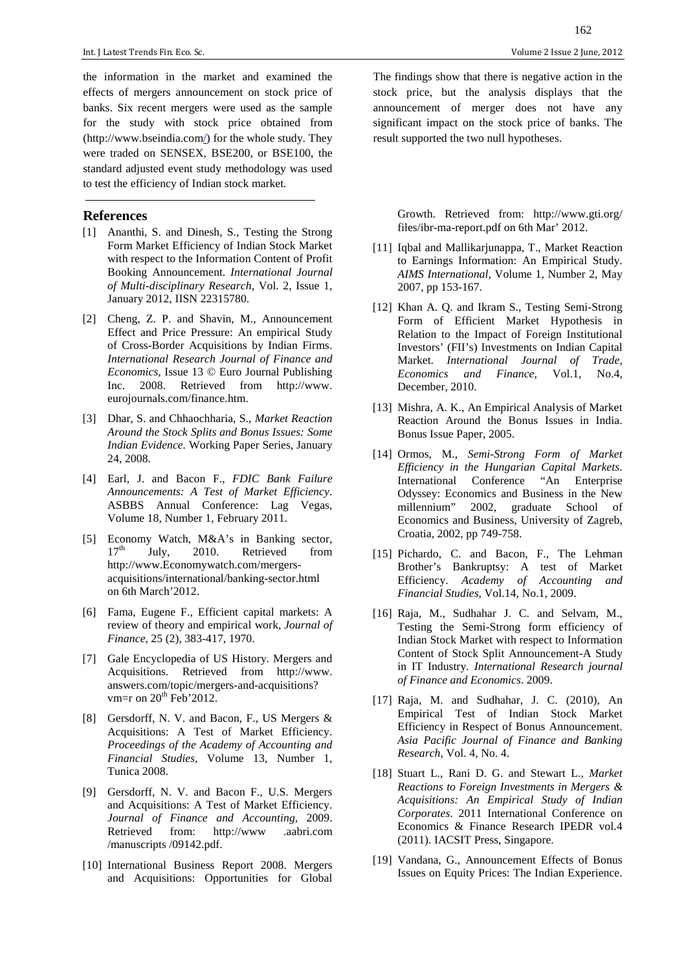the information in the market and examined the effects of mergers announcement on stock price of banks. Six recent mergers were used as the sample for the study with stock price obtained from (http://www.bseindia.com/) for the whole study. They were traded on SENSEX, BSE200, or BSE100, the standard adjusted event study methodology was used to test the efficiency of Indian stock market.

#### **References**

- [1] Ananthi, S. and Dinesh, S., Testing the Strong Form Market Efficiency of Indian Stock Market with respect to the Information Content of Profit Booking Announcement. *International Journal of Multi-disciplinary Research*, Vol. 2, Issue 1, January 2012, IISN 22315780.
- [2] Cheng, Z. P. and Shavin, M., Announcement Effect and Price Pressure: An empirical Study of Cross-Border Acquisitions by Indian Firms. *International Research Journal of Finance and Economics*, Issue 13 © Euro Journal Publishing Inc. 2008. Retrieved from http://www. eurojournals.com/finance.htm.
- [3] Dhar, S. and Chhaochharia, S., *Market Reaction Around the Stock Splits and Bonus Issues: Some Indian Evidence.* Working Paper Series, January 24, 2008.
- [4] Earl, J. and Bacon F., *FDIC Bank Failure Announcements: A Test of Market Efficiency*. ASBBS Annual Conference: Lag Vegas, Volume 18, Number 1, February 2011.
- [5] Economy Watch,  $M&A$ 's in Banking sector,<br>17<sup>th</sup> Iuly 2010 Retrieved from July, 2010. Retrieved from http://www.Economywatch.com/mergersacquisitions/international/banking-sector.html on 6th March'2012.
- [6] Fama, Eugene F., Efficient capital markets: A review of theory and empirical work, *Journal of Finance*, 25 (2), 383-417, 1970.
- [7] Gale Encyclopedia of US History. Mergers and Acquisitions. Retrieved from http://www. answers.com/topic/mergers-and-acquisitions? vm=r on  $20<sup>th</sup>$  Feb'2012.
- [8] Gersdorff, N. V. and Bacon, F., US Mergers & Acquisitions: A Test of Market Efficiency. *Proceedings of the Academy of Accounting and Financial Studies*, Volume 13, Number 1, Tunica 2008.
- [9] Gersdorff, N. V. and Bacon F., U.S. Mergers and Acquisitions: A Test of Market Efficiency. *Journal of Finance and Accounting*, 2009. Retrieved from: http://www .aabri.com /manuscripts /09142.pdf.
- [10] International Business Report 2008. Mergers and Acquisitions: Opportunities for Global

162

The findings show that there is negative action in the stock price, but the analysis displays that the announcement of merger does not have any significant impact on the stock price of banks. The result supported the two null hypotheses.

Growth. Retrieved from: http://www.gti.org/ files/ibr-ma-report.pdf on 6th Mar' 2012.

- [11] Iqbal and Mallikarjunappa, T., Market Reaction to Earnings Information: An Empirical Study. *AIMS International*, Volume 1, Number 2, May 2007, pp 153-167.
- [12] Khan A. Q. and Ikram S., Testing Semi-Strong Form of Efficient Market Hypothesis in Relation to the Impact of Foreign Institutional Investors' (FII's) Investments on Indian Capital Market. *International Journal of Trade, Economics and Finance*, Vol.1, No.4, December, 2010.
- [13] Mishra, A. K., An Empirical Analysis of Market Reaction Around the Bonus Issues in India. Bonus Issue Paper, 2005.
- [14] Ormos, M., *Semi-Strong Form of Market Efficiency in the Hungarian Capital Markets*. International Conference "An Enterprise Odyssey: Economics and Business in the New millennium" 2002, graduate School of Economics and Business, University of Zagreb, Croatia, 2002, pp 749-758.
- [15] Pichardo, C. and Bacon, F., The Lehman Brother's Bankruptsy: A test of Market Efficiency. *Academy of Accounting and Financial Studies*, Vol.14, No.1, 2009.
- [16] Raja, M., Sudhahar J. C. and Selvam, M., Testing the Semi-Strong form efficiency of Indian Stock Market with respect to Information Content of Stock Split Announcement-A Study in IT Industry. *International Research journal of Finance and Economics*. 2009.
- [17] Raja, M. and Sudhahar, J. C. (2010), An Empirical Test of Indian Stock Market Efficiency in Respect of Bonus Announcement. *Asia Pacific Journal of Finance and Banking Research*, Vol. 4, No. 4.
- [18] Stuart L., Rani D. G. and Stewart L., *Market Reactions to Foreign Investments in Mergers & Acquisitions: An Empirical Study of Indian Corporates*. 2011 International Conference on Economics & Finance Research IPEDR vol.4 (2011). IACSIT Press, Singapore.
- [19] Vandana, G., Announcement Effects of Bonus Issues on Equity Prices: The Indian Experience.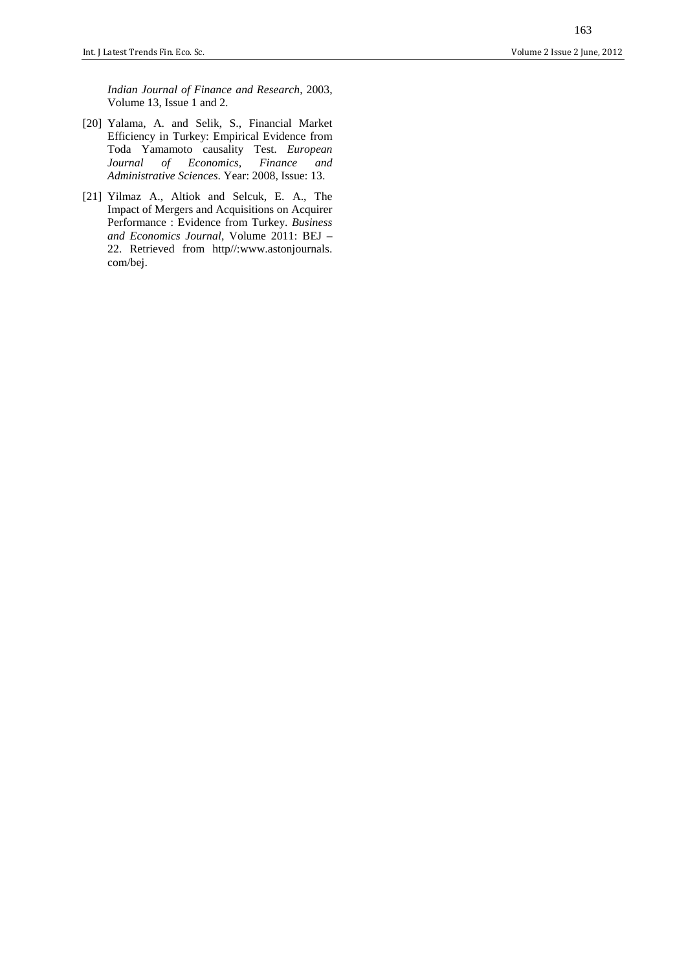*Indian Journal of Finance and Research*, 2003, Volume 13, Issue 1 and 2.

- [20] Yalama, A. and Selik, S., Financial Market Efficiency in Turkey: Empirical Evidence from Toda Yamamoto causality Test. *European Journal of Economics, Finance and Administrative Sciences*. Year: 2008, Issue: 13.
- [21] Yilmaz A., Altiok and Selcuk, E. A., The Impact of Mergers and Acquisitions on Acquirer Performance : Evidence from Turkey. *Business and Economics Journal*, Volume 2011: BEJ – 22. Retrieved from http//:www.astonjournals. com/bej.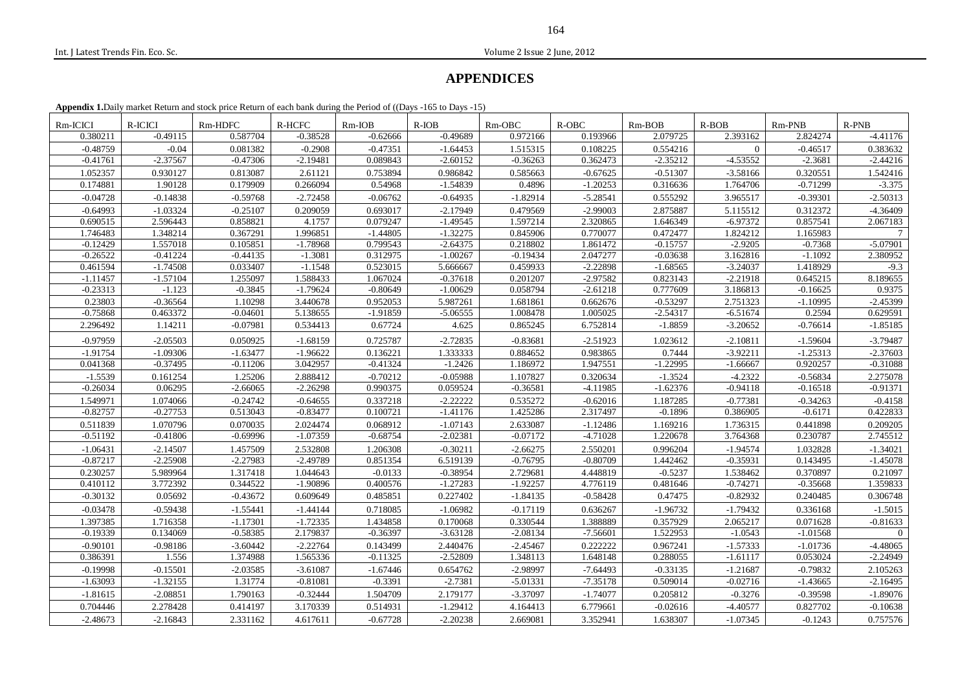Int. J Latest Trends Fin. Eco. Sc. Volume 2 Issue 2 June, 2012

# **APPENDICES**

**Appendix 1.**Daily market Return and stock price Return of each bank during the Period of ((Days -165 to Days -15)

| Rm-ICICI   | R-ICICI    | Rm-HDFC    | R-HCFC     | $Rm-IOB$   | $R-IOB$    | $Rm-OBC$   | $R-OBC$    | $Rm-BOB$   | $R-BOB$    | $Rm-PNB$   | $R-PNB$    |
|------------|------------|------------|------------|------------|------------|------------|------------|------------|------------|------------|------------|
| 0.380211   | $-0.49115$ | 0.587704   | $-0.38528$ | $-0.62666$ | $-0.49689$ | 0.972166   | 0.193966   | 2.079725   | 2.393162   | 2.824274   | $-4.41176$ |
| $-0.48759$ | $-0.04$    | 0.081382   | $-0.2908$  | $-0.47351$ | $-1.64453$ | 1.515315   | 0.108225   | 0.554216   | $\Omega$   | $-0.46517$ | 0.383632   |
| $-0.41761$ | $-2.37567$ | $-0.47306$ | $-2.19481$ | 0.089843   | $-2.60152$ | $-0.36263$ | 0.362473   | $-2.35212$ | $-4.53552$ | $-2.3681$  | $-2.44216$ |
| 1.052357   | 0.930127   | 0.813087   | 2.61121    | 0.753894   | 0.986842   | 0.585663   | $-0.67625$ | $-0.51307$ | $-3.58166$ | 0.320551   | 1.542416   |
| 0.174881   | 1.90128    | 0.179909   | 0.266094   | 0.54968    | $-1.54839$ | 0.4896     | $-1.20253$ | 0.316636   | 1.764706   | $-0.71299$ | $-3.375$   |
| $-0.04728$ | $-0.14838$ | $-0.59768$ | $-2.72458$ | $-0.06762$ | $-0.64935$ | $-1.82914$ | $-5.28541$ | 0.555292   | 3.965517   | $-0.39301$ | $-2.50313$ |
| $-0.64993$ | $-1.03324$ | $-0.25107$ | 0.209059   | 0.693017   | $-2.17949$ | 0.479569   | $-2.99003$ | 2.875887   | 5.115512   | 0.312372   | $-4.36409$ |
| 0.690515   | 2.596443   | 0.858821   | 4.1757     | 0.079247   | $-1.49545$ | 1.597214   | 2.320865   | 1.646349   | $-6.97372$ | 0.857541   | 2.067183   |
| 1.746483   | 1.348214   | 0.367291   | 1.996851   | $-1.44805$ | $-1.32275$ | 0.845906   | 0.770077   | 0.472477   | 1.824212   | 1.165983   | $\tau$     |
| $-0.12429$ | 1.557018   | 0.105851   | $-1.78968$ | 0.799543   | $-2.64375$ | 0.218802   | 1.861472   | $-0.15757$ | $-2.9205$  | $-0.7368$  | $-5.07901$ |
| $-0.26522$ | $-0.41224$ | $-0.44135$ | $-1.3081$  | 0.312975   | $-1.00267$ | $-0.19434$ | 2.047277   | $-0.03638$ | 3.162816   | $-1.1092$  | 2.380952   |
| 0.461594   | $-1.74508$ | 0.033407   | $-1.1548$  | 0.523015   | 5.666667   | 0.459933   | $-2.22898$ | $-1.68565$ | $-3.24037$ | 1.418929   | $-9.3$     |
| $-1.11457$ | $-1.57104$ | 1.255097   | 1.588433   | 1.067024   | $-0.37618$ | 0.201207   | $-2.97582$ | 0.823143   | $-2.21918$ | 0.645215   | 8.189655   |
| $-0.23313$ | $-1.123$   | $-0.3845$  | $-1.79624$ | $-0.80649$ | $-1.00629$ | 0.058794   | $-2.61218$ | 0.777609   | 3.186813   | $-0.16625$ | 0.9375     |
| 0.23803    | $-0.36564$ | 1.10298    | 3.440678   | 0.952053   | 5.987261   | 1.681861   | 0.662676   | $-0.53297$ | 2.751323   | $-1.10995$ | $-2.45399$ |
| $-0.75868$ | 0.463372   | $-0.04601$ | 5.138655   | $-1.91859$ | $-5.06555$ | 1.008478   | 1.005025   | $-2.54317$ | $-6.51674$ | 0.2594     | 0.629591   |
| 2.296492   | 1.14211    | $-0.07981$ | 0.534413   | 0.67724    | 4.625      | 0.865245   | 6.752814   | $-1.8859$  | $-3.20652$ | $-0.76614$ | $-1.85185$ |
| $-0.97959$ | $-2.05503$ | 0.050925   | $-1.68159$ | 0.725787   | $-2.72835$ | $-0.83681$ | $-2.51923$ | 1.023612   | $-2.10811$ | $-1.59604$ | $-3.79487$ |
| $-1.91754$ | $-1.09306$ | $-1.63477$ | $-1.96622$ | 0.136221   | 1.333333   | 0.884652   | 0.983865   | 0.7444     | $-3.92211$ | $-1.25313$ | $-2.37603$ |
| 0.041368   | $-0.37495$ | $-0.11206$ | 3.042957   | $-0.41324$ | $-1.2426$  | 1.186972   | 1.947551   | $-1.22995$ | $-1.66667$ | 0.920257   | $-0.31088$ |
| $-1.5539$  | 0.161254   | 1.25206    | 2.888412   | $-0.70212$ | $-0.05988$ | 1.107827   | 0.320634   | $-1.3524$  | $-4.2322$  | $-0.56834$ | 2.275078   |
| $-0.26034$ | 0.06295    | $-2.66065$ | $-2.26298$ | 0.990375   | 0.059524   | $-0.36581$ | $-4.11985$ | $-1.62376$ | $-0.94118$ | $-0.16518$ | $-0.91371$ |
| 1.549971   | 1.074066   | $-0.24742$ | $-0.64655$ | 0.337218   | $-2.22222$ | 0.535272   | $-0.62016$ | 1.187285   | $-0.77381$ | $-0.34263$ | $-0.4158$  |
| $-0.82757$ | $-0.27753$ | 0.513043   | $-0.83477$ | 0.100721   | $-1.41176$ | 1.425286   | 2.317497   | $-0.1896$  | 0.386905   | $-0.6171$  | 0.422833   |
| 0.511839   | 1.070796   | 0.070035   | 2.024474   | 0.068912   | $-1.07143$ | 2.633087   | $-1.12486$ | 1.169216   | 1.736315   | 0.441898   | 0.209205   |
| $-0.51192$ | $-0.41806$ | $-0.69996$ | $-1.07359$ | $-0.68754$ | $-2.02381$ | $-0.07172$ | $-4.71028$ | 1.220678   | 3.764368   | 0.230787   | 2.745512   |
| $-1.06431$ | $-2.14507$ | 1.457509   | 2.532808   | 1.206308   | $-0.30211$ | $-2.66275$ | 2.550201   | 0.996204   | $-1.94574$ | 1.032828   | $-1.34021$ |
| $-0.87217$ | $-2.25908$ | $-2.27983$ | $-2.49789$ | 0.851354   | 6.519139   | $-0.76795$ | $-0.80709$ | 1.442462   | $-0.35931$ | 0.143495   | $-1.45078$ |
| 0.230257   | 5.989964   | 1.317418   | 1.044643   | $-0.0133$  | $-0.38954$ | 2.729681   | 4.448819   | $-0.5237$  | 1.538462   | 0.370897   | 0.21097    |
| 0.410112   | 3.772392   | 0.344522   | $-1.90896$ | 0.400576   | $-1.27283$ | $-1.92257$ | 4.776119   | 0.481646   | $-0.74271$ | $-0.35668$ | 1.359833   |
| $-0.30132$ | 0.05692    | $-0.43672$ | 0.609649   | 0.485851   | 0.227402   | $-1.84135$ | $-0.58428$ | 0.47475    | $-0.82932$ | 0.240485   | 0.306748   |
| $-0.03478$ | $-0.59438$ | $-1.55441$ | $-1.44144$ | 0.718085   | $-1.06982$ | $-0.17119$ | 0.636267   | $-1.96732$ | $-1.79432$ | 0.336168   | $-1.5015$  |
| 1.397385   | 1.716358   | $-1.17301$ | $-1.72335$ | 1.434858   | 0.170068   | 0.330544   | 1.388889   | 0.357929   | 2.065217   | 0.071628   | $-0.81633$ |
| $-0.19339$ | 0.134069   | $-0.58385$ | 2.179837   | $-0.36397$ | $-3.63128$ | $-2.08134$ | $-7.56601$ | 1.522953   | $-1.0543$  | $-1.01568$ | $\Omega$   |
| $-0.90101$ | $-0.98186$ | $-3.60442$ | $-2.22764$ | 0.143499   | 2.440476   | $-2.45467$ | 0.222222   | 0.967241   | $-1.57333$ | $-1.01736$ | $-4.48065$ |
| 0.386391   | 1.556      | 1.374988   | 1.565336   | $-0.11325$ | $-2.52809$ | 1.348113   | 1.648148   | 0.288055   | $-1.61117$ | 0.053024   | $-2.24949$ |
| $-0.19998$ | $-0.15501$ | $-2.03585$ | $-3.61087$ | $-1.67446$ | 0.654762   | $-2.98997$ | $-7.64493$ | $-0.33135$ | $-1.21687$ | $-0.79832$ | 2.105263   |
| $-1.63093$ | $-1.32155$ | 1.31774    | $-0.81081$ | $-0.3391$  | $-2.7381$  | $-5.01331$ | $-7.35178$ | 0.509014   | $-0.02716$ | $-1.43665$ | $-2.16495$ |
| $-1.81615$ | $-2.08851$ | 1.790163   | $-0.32444$ | 1.504709   | 2.179177   | $-3.37097$ | $-1.74077$ | 0.205812   | $-0.3276$  | $-0.39598$ | $-1.89076$ |
| 0.704446   | 2.278428   | 0.414197   | 3.170339   | 0.514931   | $-1.29412$ | 4.164413   | 6.779661   | $-0.02616$ | $-4.40577$ | 0.827702   | $-0.10638$ |
| $-2.48673$ | $-2.16843$ | 2.331162   | 4.617611   | $-0.67728$ | $-2.20238$ | 2.669081   | 3.352941   | 1.638307   | $-1.07345$ | $-0.1243$  | 0.757576   |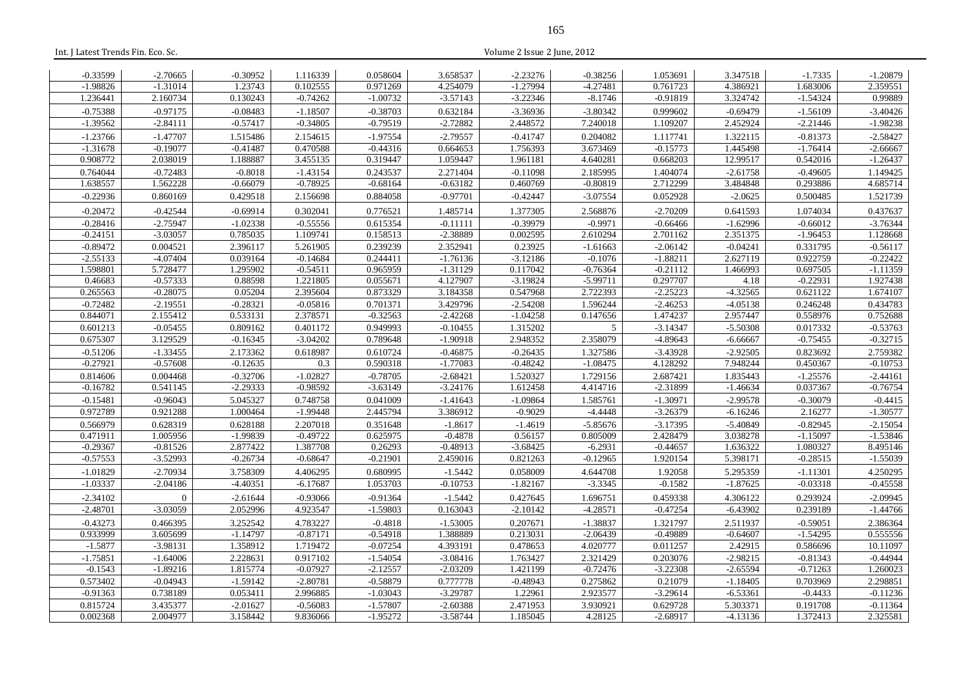| $-0.33599$ | $-2.70665$     | $-0.30952$ | 1.116339   | 0.058604   | 3.658537   | $-2.23276$ | $-0.38256$     | 1.053691   | 3.347518   | $-1.7335$  | $-1.20879$ |
|------------|----------------|------------|------------|------------|------------|------------|----------------|------------|------------|------------|------------|
| $-1.98826$ | $-1.31014$     | 1.23743    | 0.102555   | 0.971269   | 4.254079   | $-1.27994$ | $-4.27481$     | 0.761723   | 4.386921   | 1.683006   | 2.359551   |
| 1.236441   | 2.160734       | 0.130243   | $-0.74262$ | $-1.00732$ | $-3.57143$ | $-3.22346$ | $-8.1746$      | $-0.91819$ | 3.324742   | $-1.54324$ | 0.99889    |
| $-0.75388$ | $-0.97175$     | $-0.08483$ | $-1.18507$ | $-0.38703$ | 0.632184   | $-3.36936$ | $-3.80342$     | 0.999602   | $-0.69479$ | $-1.56109$ | $-3.40426$ |
| $-1.39562$ | $-2.84111$     | $-0.57417$ | $-0.34805$ | $-0.79519$ | $-2.72882$ | 2.448572   | 7.240018       | 1.109207   | 2.452924   | $-2.21446$ | $-1.98238$ |
| $-1.23766$ | $-1.47707$     | 1.515486   | 2.154615   | $-1.97554$ | $-2.79557$ | $-0.41747$ | 0.204082       | 1.117741   | 1.322115   | $-0.81373$ | $-2.58427$ |
| $-1.31678$ | $-0.19077$     | $-0.41487$ | 0.470588   | $-0.44316$ | 0.664653   | 1.756393   | 3.673469       | $-0.15773$ | 1.445498   | $-1.76414$ | $-2.66667$ |
| 0.908772   | 2.038019       | 1.188887   | 3.455135   | 0.319447   | 1.059447   | 1.961181   | 4.640281       | 0.668203   | 12.99517   | 0.542016   | $-1.26437$ |
| 0.764044   | $-0.72483$     | $-0.8018$  | $-1.43154$ | 0.243537   | 2.271404   | $-0.11098$ | 2.185995       | 1.404074   | $-2.61758$ | $-0.49605$ | 1.149425   |
| 1.638557   | 1.562228       | $-0.66079$ | $-0.78925$ | $-0.68164$ | $-0.63182$ | 0.460769   | $-0.80819$     | 2.712299   | 3.484848   | 0.293886   | 4.685714   |
| $-0.22936$ | 0.860169       | 0.429518   | 2.156698   | 0.884058   | $-0.97701$ | $-0.42447$ | $-3.07554$     | 0.052928   | $-2.0625$  | 0.500485   | 1.521739   |
| $-0.20472$ | $-0.42544$     | $-0.69914$ | 0.302041   | 0.776521   | 1.485714   | 1.377305   | 2.568876       | $-2.70209$ | 0.641593   | 1.074034   | 0.437637   |
| $-0.28416$ | $-2.75947$     | $-1.02338$ | $-0.55556$ | 0.615354   | $-0.11111$ | $-0.39979$ | $-0.9971$      | $-0.66466$ | $-1.62996$ | $-0.66012$ | $-3.76344$ |
| $-0.24151$ | $-3.03057$     | 0.785035   | 1.109741   | 0.158513   | -2.38889   | 0.002595   | 2.610294       | 2.701162   | 2.351375   | $-1.96453$ | 1.128668   |
| $-0.89472$ | 0.004521       | 2.396117   | 5.261905   | 0.239239   | 2.352941   | 0.23925    | $-1.61663$     | $-2.06142$ | $-0.04241$ | 0.331795   | $-0.56117$ |
| $-2.55133$ | $-4.07404$     | 0.039164   | $-0.14684$ | 0.244411   | $-1.76136$ | $-3.12186$ | $-0.1076$      | $-1.88211$ | 2.627119   | 0.922759   | $-0.22422$ |
| 1.598801   | 5.728477       | 1.295902   | $-0.54511$ | 0.965959   | $-1.31129$ | 0.117042   | $-0.76364$     | $-0.21112$ | 1.466993   | 0.697505   | $-1.11359$ |
| 0.46683    | $-0.57333$     | 0.88598    | 1.221805   | 0.055671   | 4.127907   | $-3.19824$ | $-5.99711$     | 0.297707   | 4.18       | $-0.22931$ | 1.927438   |
| 0.265563   | $-0.28075$     | 0.05204    | 2.395604   | 0.873329   | 3.184358   | 0.547968   | 2.722393       | $-2.25223$ | $-4.32565$ | 0.621122   | 1.674107   |
| $-0.72482$ | $-2.19551$     | $-0.28321$ | $-0.05816$ | 0.701371   | 3.429796   | $-2.54208$ | 1.596244       | $-2.46253$ | $-4.05138$ | 0.246248   | 0.434783   |
| 0.844071   | 2.155412       | 0.533131   | 2.378571   | $-0.32563$ | $-2.42268$ | $-1.04258$ | 0.147656       | 1.474237   | 2.957447   | 0.558976   | 0.752688   |
| 0.601213   | $-0.05455$     | 0.809162   | 0.401172   | 0.949993   | $-0.10455$ | 1.315202   | $\overline{5}$ | $-3.14347$ | $-5.50308$ | 0.017332   | $-0.53763$ |
| 0.675307   | 3.129529       | $-0.16345$ | $-3.04202$ | 0.789648   | $-1.90918$ | 2.948352   | 2.358079       | $-4.89643$ | $-6.66667$ | $-0.75455$ | $-0.32715$ |
| $-0.51206$ | $-1.33455$     | 2.173362   | 0.618987   | 0.610724   | $-0.46875$ | $-0.26435$ | 1.327586       | $-3.43928$ | $-2.92505$ | 0.823692   | 2.759382   |
| $-0.27921$ | $-0.57608$     | $-0.12635$ | 0.3        | 0.590318   | $-1.77083$ | $-0.48242$ | $-1.08475$     | 4.128292   | 7.948244   | 0.450367   | $-0.10753$ |
| 0.814606   | 0.004468       | $-0.32706$ | $-1.02827$ | $-0.78705$ | $-2.68421$ | 1.520327   | 1.729156       | 2.687421   | 1.835443   | $-1.25576$ | $-2.44161$ |
| $-0.16782$ | 0.541145       | $-2.29333$ | $-0.98592$ | $-3.63149$ | $-3.24176$ | 1.612458   | 4.414716       | $-2.31899$ | $-1.46634$ | 0.037367   | $-0.76754$ |
| $-0.15481$ | $-0.96043$     | 5.045327   | 0.748758   | 0.041009   | $-1.41643$ | $-1.09864$ | 1.585761       | $-1.30971$ | $-2.99578$ | $-0.30079$ | $-0.4415$  |
| 0.972789   | 0.921288       | 1.000464   | $-1.99448$ | 2.445794   | 3.386912   | $-0.9029$  | $-4.4448$      | $-3.26379$ | $-6.16246$ | 2.16277    | $-1.30577$ |
| 0.566979   | 0.628319       | 0.628188   | 2.207018   | 0.351648   | $-1.8617$  | $-1.4619$  | $-5.85676$     | $-3.17395$ | $-5.40849$ | $-0.82945$ | $-2.15054$ |
| 0.471911   | 1.005956       | $-1.99839$ | $-0.49722$ | 0.625975   | $-0.4878$  | 0.56157    | 0.805009       | 2.428479   | 3.038278   | $-1.15097$ | $-1.53846$ |
| $-0.29367$ | $-0.81526$     | 2.877422   | 1.387708   | 0.26293    | $-0.48913$ | $-3.68425$ | $-6.2931$      | $-0.44657$ | 1.636322   | 1.080327   | 8.495146   |
| $-0.57553$ | $-3.52993$     | $-0.26734$ | $-0.68647$ | $-0.21901$ | 2.459016   | 0.821263   | $-0.12965$     | 1.920154   | 5.398171   | $-0.28515$ | $-1.55039$ |
| $-1.01829$ | $-2.70934$     | 3.758309   | 4.406295   | 0.680995   | $-1.5442$  | 0.058009   | 4.644708       | 1.92058    | 5.295359   | $-1.11301$ | 4.250295   |
| $-1.03337$ | $-2.04186$     | $-4.40351$ | $-6.17687$ | 1.053703   | $-0.10753$ | $-1.82167$ | $-3.3345$      | $-0.1582$  | $-1.87625$ | $-0.03318$ | $-0.45558$ |
| $-2.34102$ | $\overline{0}$ | $-2.61644$ | $-0.93066$ | $-0.91364$ | $-1.5442$  | 0.427645   | 1.696751       | 0.459338   | 4.306122   | 0.293924   | $-2.09945$ |
| $-2.48701$ | $-3.03059$     | 2.052996   | 4.923547   | $-1.59803$ | 0.163043   | $-2.10142$ | $-4.28571$     | $-0.47254$ | $-6.43902$ | 0.239189   | $-1.44766$ |
| $-0.43273$ | 0.466395       | 3.252542   | 4.783227   | $-0.4818$  | $-1.53005$ | 0.207671   | $-1.38837$     | 1.321797   | 2.511937   | $-0.59051$ | 2.386364   |
| 0.933999   | 3.605699       | $-1.14797$ | $-0.87171$ | $-0.54918$ | 1.388889   | 0.213031   | $-2.06439$     | $-0.49889$ | $-0.64607$ | $-1.54295$ | 0.555556   |
| $-1.5877$  | $-3.98131$     | 1.358912   | 1.719472   | $-0.07254$ | 4.393191   | 0.478653   | 4.020777       | 0.011257   | 2.42915    | 0.586696   | 10.11097   |
| $-1.75851$ | $-1.64006$     | 2.228631   | 0.917102   | $-1.54054$ | $-3.08416$ | 1.763427   | 2.321429       | 0.203076   | $-2.98215$ | $-0.81343$ | $-0.44944$ |
| $-0.1543$  | $-1.89216$     | 1.815774   | $-0.07927$ | $-2.12557$ | $-2.03209$ | 1.421199   | $-0.72476$     | $-3.22308$ | $-2.65594$ | $-0.71263$ | 1.260023   |
| 0.573402   | $-0.04943$     | $-1.59142$ | $-2.80781$ | $-0.58879$ | 0.777778   | $-0.48943$ | 0.275862       | 0.21079    | $-1.18405$ | 0.703969   | 2.298851   |
| $-0.91363$ | 0.738189       | 0.053411   | 2.996885   | $-1.03043$ | $-3.29787$ | 1.22961    | 2.923577       | $-3.29614$ | $-6.53361$ | $-0.4433$  | $-0.11236$ |
| 0.815724   | 3.435377       | $-2.01627$ | $-0.56083$ | $-1.57807$ | $-2.60388$ | 2.471953   | 3.930921       | 0.629728   | 5.303371   | 0.191708   | $-0.11364$ |
| 0.002368   | 2.004977       | 3.158442   | 9.836066   | $-1.95272$ | $-3.58744$ | 1.185045   | 4.28125        | $-2.68917$ | $-4.13136$ | 1.372413   | 2.325581   |

Int. J Latest Trends Fin. Eco. Sc. Volume 2 Issue 2 June, 2012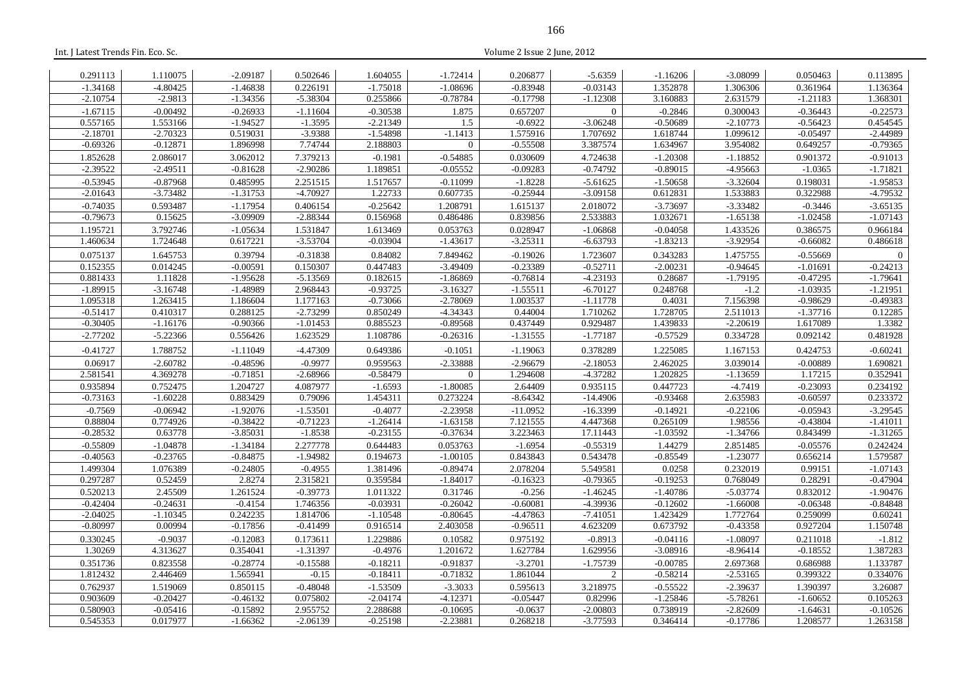| Int. J Latest Trends Fin. Eco. Sc. |                          |                          |                        |                        |                          | Volume 2 Issue 2 June, 2012 |                          |                        |                          |                          |                          |
|------------------------------------|--------------------------|--------------------------|------------------------|------------------------|--------------------------|-----------------------------|--------------------------|------------------------|--------------------------|--------------------------|--------------------------|
| 0.291113                           | 1.110075                 | $-2.09187$               | 0.502646               | 1.604055               | $-1.72414$               | 0.206877                    | $-5.6359$                | $-1.16206$             | $-3.08099$               | 0.050463                 | 0.113895                 |
| $-1.34168$                         | $-4.80425$               | $-1.46838$               | 0.226191               | $-1.75018$             | $-1.08696$               | $-0.83948$                  | $-0.03143$               | 1.352878               | 1.306306                 | 0.361964                 | 1.136364                 |
| $-2.10754$                         | $-2.9813$                | $-1.34356$               | $-5.38304$             | 0.255866               | $-0.78784$               | $-0.17798$                  | $-1.12308$               | 3.160883               | 2.631579                 | $-1.21183$               | 1.368301                 |
| $-1.67115$                         | $-0.00492$               | $-0.26933$               | $-1.11604$             | $-0.30538$             | 1.875                    | 0.657207                    | $\boldsymbol{0}$         | $-0.2846$              | 0.300043                 | $-0.36443$               | $-0.22573$               |
| 0.557165                           | 1.553166                 | $-1.94527$               | $-1.3595$              | $-2.21349$             | 1.5                      | $-0.6922$                   | $-3.06248$               | $-0.50689$             | $-2.10773$               | $-0.56423$               | 0.454545                 |
| $-2.18701$                         | $-2.70323$               | 0.519031                 | $-3.9388$              | $-1.54898$             | $-1.1413$                | 1.575916                    | 1.707692                 | 1.618744               | 1.099612                 | $-0.05497$               | $-2.44989$               |
| $-0.69326$                         | $-0.12871$               | 1.896998                 | 7.74744                | 2.188803               | $\overline{0}$           | $-0.55508$                  | 3.387574                 | 1.634967               | 3.954082                 | 0.649257                 | $-0.79365$               |
| 1.852628                           | 2.086017                 | 3.062012                 | 7.379213               | $-0.1981$              | $-0.54885$               | 0.030609                    | 4.724638                 | $-1.20308$             | $-1.18852$               | 0.901372                 | $-0.91013$               |
| $-2.39522$                         | $-2.49511$               | $-0.81628$               | $-2.90286$             | 1.189851               | $-0.05552$               | $-0.09283$                  | $-0.74792$               | $-0.89015$             | $-4.95663$               | $-1.0365$                | $-1.71821$               |
| $-0.53945$                         | $-0.87968$               | 0.485995                 | 2.251515               | 1.517657               | $-0.11099$               | $-1.8228$                   | $-5.61625$               | $-1.50658$             | $-3.32604$               | 0.198031                 | $-1.95853$               |
| $-2.01643$                         | $-3.73482$               | $-1.31753$               | $-4.70927$             | 1.22733                | 0.607735                 | $-0.25944$                  | $-3.09158$               | 0.612831               | 1.533883                 | 0.322988                 | $-4.79532$               |
| $-0.74035$                         | 0.593487                 | $-1.17954$               | 0.406154               | $-0.25642$             | 1.208791                 | 1.615137                    | 2.018072                 | $-3.73697$             | $-3.33482$               | $-0.3446$                | $-3.65135$               |
| $-0.79673$                         | 0.15625                  | $-3.09909$               | $-2.88344$             | 0.156968               | 0.486486                 | 0.839856                    | 2.533883                 | 1.032671               | $-1.65138$               | $-1.02458$               | $-1.07143$               |
| 1.195721                           | 3.792746                 | $-1.05634$               | 1.531847               | 1.613469               | 0.053763                 | 0.028947                    | $-1.06868$               | $-0.04058$             | 1.433526                 | 0.386575                 | 0.966184                 |
| 1.460634                           | 1.724648                 | 0.617221                 | $-3.53704$             | $-0.03904$             | $-1.43617$               | $-3.25311$                  | $-6.63793$               | $-1.83213$             | $-3.92954$               | $-0.66082$               | 0.486618                 |
| 0.075137                           | 1.645753                 | 0.39794                  | $-0.31838$             | 0.84082                | 7.849462                 | $-0.19026$                  | 1.723607                 | 0.343283               | 1.475755                 | $-0.55669$               | $\mathbf{0}$             |
| 0.152355<br>0.881433               | 0.014245<br>1.11828      | $-0.00591$<br>$-1.95628$ | 0.150307<br>$-5.13569$ | 0.447483<br>0.182615   | $-3.49409$<br>$-1.86869$ | $-0.23389$<br>$-0.76814$    | $-0.52711$<br>$-4.23193$ | $-2.00231$<br>0.28687  | $-0.94645$<br>$-1.79195$ | $-1.01691$<br>$-0.47295$ | $-0.24213$<br>$-1.79641$ |
| $-1.89915$                         | $-3.16748$               | $-1.48989$               | 2.968443               | $-0.93725$             | $-3.16327$               | $-1.55511$                  | $-6.70127$               | 0.248768               | $-1.2$                   | $-1.03935$               | $-1.21951$               |
| 1.095318                           | 1.263415                 | 1.186604                 | 1.177163               | $-0.73066$             | $-2.78069$               | 1.003537                    | $-1.11778$               | 0.4031                 | 7.156398                 | $-0.98629$               | $-0.49383$               |
| $-0.51417$                         | 0.410317                 | 0.288125                 | $-2.73299$             | 0.850249               | $-4.34343$               | 0.44004                     | 1.710262                 | 1.728705               | 2.511013                 | $-1.37716$               | 0.12285                  |
| $-0.30405$                         | $-1.16176$               | $-0.90366$               | $-1.01453$             | 0.885523               | $-0.89568$               | 0.437449                    | 0.929487                 | 1.439833               | $-2.20619$               | 1.617089                 | 1.3382                   |
| $-2.77202$                         | $-5.22366$               | 0.556426                 | 1.623529               | 1.108786               | $-0.26316$               | $-1.31555$                  | $-1.77187$               | $-0.57529$             | 0.334728                 | 0.092142                 | 0.481928                 |
| $-0.41727$                         | 1.788752                 | $-1.11049$               | -4.47309               | 0.649386               | $-0.1051$                | $-1.19063$                  | 0.378289                 | 1.225085               | 1.167153                 | 0.424753                 | $-0.60241$               |
| 0.06917                            | $-2.60782$               | $-0.48596$               | $-0.9977$              | 0.959563               | $-2.33888$               | $-2.96679$                  | $-2.18053$               | 2.462025               | 3.039014                 | $-0.00889$               | 1.690821                 |
| 2.581541                           | 4.369278                 | $-0.71851$               | $-2.68966$             | $-0.58479$             | $\overline{0}$           | 1.294608                    | $-4.37282$               | 1.202825               | $-1.13659$               | 1.17215                  | 0.352941                 |
| 0.935894                           | 0.752475                 | 1.204727                 | 4.087977               | $-1.6593$              | $-1.80085$               | 2.64409                     | 0.935115                 | 0.447723               | $-4.7419$                | $-0.23093$               | 0.234192                 |
| $-0.73163$                         | $-1.60228$               | 0.883429                 | 0.79096                | 1.454311               | 0.273224                 | $-8.64342$                  | $-14.4906$               | $-0.93468$             | 2.635983                 | $-0.60597$               | 0.233372                 |
| $-0.7569$                          | $-0.06942$               | $-1.92076$               | $-1.53501$             | $-0.4077$              | $-2.23958$               | $-11.0952$                  | $-16.3399$               | $-0.14921$             | $-0.22106$               | $-0.05943$               | $-3.29545$               |
| 0.88804                            | 0.774926                 | $-0.38422$               | $-0.71223$             | $-1.26414$             | $-1.63158$               | 7.121555                    | 4.447368                 | 0.265109               | 1.98556                  | $-0.43804$               | $-1.41011$               |
| $-0.28532$<br>$-0.55809$           | 0.63778                  | $-3.85031$<br>$-1.34184$ | $-1.8538$<br>2.277778  | $-0.23155$<br>0.644483 | $-0.37634$<br>0.053763   | 3.223463<br>$-1.6954$       | 17.11443<br>$-0.55319$   | $-1.03592$<br>1.44279  | $-1.34766$<br>2.851485   | 0.843499                 | $-1.31265$<br>0.242424   |
| $-0.40563$                         | $-1.04878$<br>$-0.23765$ | $-0.84875$               | $-1.94982$             | 0.194673               | $-1.00105$               | 0.843843                    | 0.543478                 | $-0.85549$             | $-1.23077$               | $-0.05576$<br>0.656214   | 1.579587                 |
| 1.499304                           | 1.076389                 | $-0.24805$               | $-0.4955$              | 1.381496               | $-0.89474$               | 2.078204                    | 5.549581                 | 0.0258                 | 0.232019                 | 0.99151                  | $-1.07143$               |
| 0.297287                           | 0.52459                  | 2.8274                   | 2.315821               | 0.359584               | $-1.84017$               | $-0.16323$                  | $-0.79365$               | $-0.19253$             | 0.768049                 | 0.28291                  | $-0.47904$               |
| 0.520213                           | 2.45509                  | 1.261524                 | $-0.39773$             | 1.011322               | 0.31746                  | $-0.256$                    | $-1.46245$               | $-1.40786$             | $-5.03774$               | 0.832012                 | $-1.90476$               |
| $-0.42404$                         | $-0.24631$               | $-0.4154$                | 1.746356               | $-0.03931$             | $-0.26042$               | $-0.60081$                  | -4.39936                 | $-0.12602$             | $-1.66008$               | $-0.06348$               | $-0.84848$               |
| $-2.04025$                         | $-1.10345$               | 0.242235                 | 1.814706               | $-1.10548$             | $-0.80645$               | $-4.47863$                  | $-7.41051$               | 1.423429               | 1.772764                 | 0.259099                 | 0.60241                  |
| $-0.80997$                         | 0.00994                  | $-0.17856$               | $-0.41499$             | 0.916514               | 2.403058                 | $-0.96511$                  | 4.623209                 | 0.673792               | $-0.43358$               | 0.927204                 | 1.150748                 |
| 0.330245                           | $-0.9037$                | $-0.12083$               | 0.173611               | 1.229886               | 0.10582                  | 0.975192                    | $-0.8913$                | $-0.04116$             | $-1.08097$               | 0.211018                 | $-1.812$                 |
| 1.30269                            | 4.313627                 | 0.354041                 | $-1.31397$             | $-0.4976$              | 1.201672                 | 1.627784                    | 1.629956                 | $-3.08916$             | $-8.96414$               | $-0.18552$               | 1.387283                 |
| 0.351736                           | 0.823558                 | $-0.28774$               | $-0.15588$             | $-0.18211$             | $-0.91837$               | $-3.2701$                   | $-1.75739$               | $-0.00785$             | 2.697368                 | 0.686988                 | 1.133787                 |
| 1.812432                           | 2.446469                 | 1.565941                 | $-0.15$                | $-0.18411$             | $-0.71832$               | 1.861044                    | $\overline{2}$           | $-0.58214$             | $-2.53165$               | 0.399322                 | 0.334076                 |
| 0.762937                           | 1.519069                 | 0.850115                 | $-0.48048$             | $-1.53509$             | $-3.3033$                | 0.595613                    | 3.218975                 | $-0.55522$             | $-2.39637$               | 1.390397                 | 3.26087                  |
| 0.903609<br>0.580903               | $-0.20427$<br>$-0.05416$ | $-0.46132$<br>$-0.15892$ | 0.075802<br>2.955752   | $-2.04174$<br>2.288688 | $-4.12371$<br>$-0.10695$ | $-0.05447$<br>$-0.0637$     | 0.82996<br>$-2.00803$    | $-1.25846$<br>0.738919 | $-5.78261$<br>$-2.82609$ | $-1.60652$<br>$-1.64631$ | 0.105263<br>$-0.10526$   |
| 0.545353                           | 0.017977                 | $-1.66362$               | $-2.06139$             | $-0.25198$             | $-2.23881$               | 0.268218                    | $-3.77593$               | 0.346414               | $-0.17786$               | 1.208577                 | 1.263158                 |
|                                    |                          |                          |                        |                        |                          |                             |                          |                        |                          |                          |                          |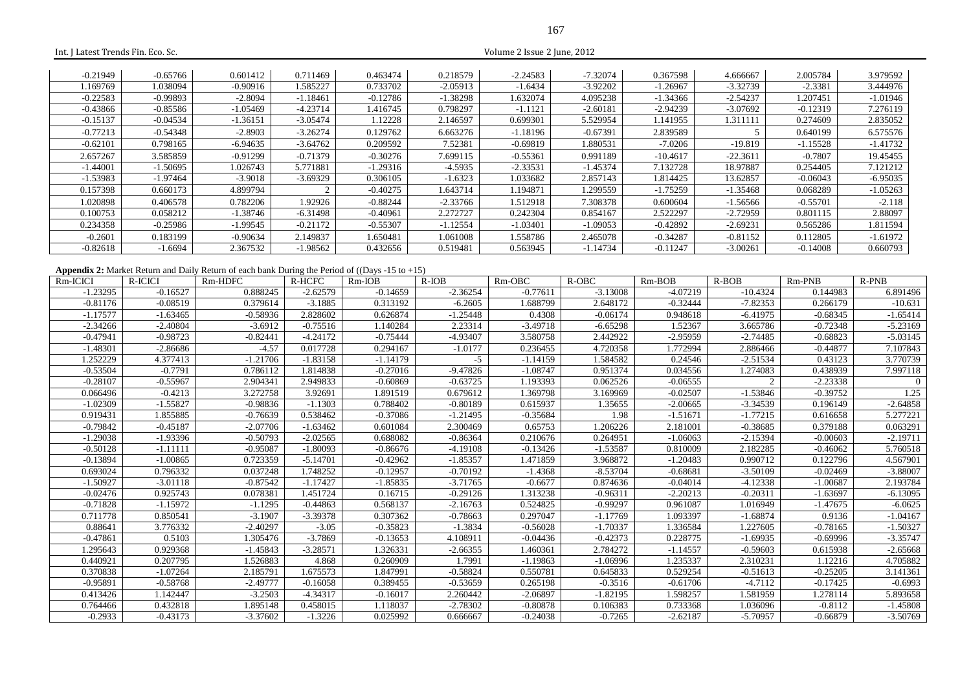| Int. J Latest Trends Fin. Eco. Sc. |            |                                                                                                             |            |            |            | Volume 2 Issue 2 June, 2012 |            |            |                |            |                |
|------------------------------------|------------|-------------------------------------------------------------------------------------------------------------|------------|------------|------------|-----------------------------|------------|------------|----------------|------------|----------------|
|                                    |            |                                                                                                             |            |            |            |                             |            |            |                |            |                |
| $-0.21949$                         | $-0.65766$ | 0.601412                                                                                                    | 0.711469   | 0.463474   | 0.218579   | $-2.24583$                  | $-7.32074$ | 0.367598   | 4.666667       | 2.005784   | 3.979592       |
| 1.169769                           | 1.038094   | $-0.90916$                                                                                                  | 1.585227   | 0.733702   | $-2.05913$ | $-1.6434$                   | $-3.92202$ | $-1.26967$ | $-3.32739$     | $-2.3381$  | 3.444976       |
| $-0.22583$                         | $-0.99893$ | $-2.8094$                                                                                                   | $-1.18461$ | $-0.12786$ | $-1.38298$ | 1.632074                    | 4.095238   | $-1.34366$ | $-2.54237$     | 1.207451   | $-1.01946$     |
| $-0.43866$                         | $-0.85586$ | $-1.05469$                                                                                                  | $-4.23714$ | 1.416745   | 0.798297   | $-1.1121$                   | $-2.60181$ | $-2.94239$ | $-3.07692$     | $-0.12319$ | 7.276119       |
| $-0.15137$                         | $-0.04534$ | $-1.36151$                                                                                                  | $-3.05474$ | 1.12228    | 2.146597   | 0.699301                    | 5.529954   | 1.141955   | 1.311111       | 0.274609   | 2.835052       |
| $-0.77213$                         | $-0.54348$ | $-2.8903$                                                                                                   | $-3.26274$ | 0.129762   | 6.663276   | $-1.18196$                  | $-0.67391$ | 2.839589   | 5              | 0.640199   | 6.575576       |
| $-0.62101$                         | 0.798165   | $-6.94635$                                                                                                  | $-3.64762$ | 0.209592   | 7.52381    | $-0.69819$                  | 1.880531   | $-7.0206$  | $-19.819$      | $-1.15528$ | $-1.41732$     |
| 2.657267                           | 3.585859   | $-0.91299$                                                                                                  | $-0.71379$ | $-0.30276$ | 7.699115   | $-0.55361$                  | 0.991189   | $-10.4617$ | $-22.3611$     | $-0.7807$  | 19.45455       |
| $-1.44001$                         | $-1.50695$ | 1.026743                                                                                                    | 5.771881   | $-1.29316$ | $-4.5935$  | $-2.33531$                  | $-1.45374$ | 7.132728   | 18.97887       | 0.254405   | 7.121212       |
| $-1.53983$                         | $-1.97464$ | $-3.9018$                                                                                                   | $-3.69329$ | 0.306105   | $-1.6323$  | 1.033682                    | 2.857143   | 1.814425   | 13.62857       | $-0.06043$ | $-6.95035$     |
| 0.157398                           | 0.660173   | 4.899794                                                                                                    | 2          | $-0.40275$ | 1.643714   | 1.194871                    | 1.299559   | $-1.75259$ | $-1.35468$     | 0.068289   | $-1.05263$     |
| 1.020898                           | 0.406578   | 0.782206                                                                                                    | 1.92926    | $-0.88244$ | $-2.33766$ | 1.512918                    | 7.308378   | 0.600604   | $-1.56566$     | $-0.55701$ | $-2.118$       |
| 0.100753                           | 0.058212   | $-1.38746$                                                                                                  | $-6.31498$ | $-0.40961$ | 2.272727   | 0.242304                    | 0.854167   | 2.522297   | $-2.72959$     | 0.801115   | 2.88097        |
| 0.234358                           | $-0.25986$ | $-1.99545$                                                                                                  | $-0.21172$ | $-0.55307$ | $-1.12554$ | $-1.03401$                  | $-1.09053$ | $-0.42892$ | $-2.69231$     | 0.565286   | 1.811594       |
| $-0.2601$                          | 0.183199   | $-0.90634$                                                                                                  | 2.149837   | 1.650481   | 1.061008   | 1.558786                    | 2.465078   | $-0.34287$ | $-0.81152$     | 0.112805   | $-1.61972$     |
| $-0.82618$                         | $-1.6694$  | 2.367532                                                                                                    | $-1.98562$ | 0.432656   | 0.519481   | 0.563945                    | $-1.14734$ | $-0.11247$ | $-3.00261$     | $-0.14008$ | 0.660793       |
|                                    |            |                                                                                                             |            |            |            |                             |            |            |                |            |                |
|                                    |            | <b>Appendix 2:</b> Market Return and Daily Return of each bank During the Period of ((Days $-15$ to $+15$ ) |            |            |            |                             |            |            |                |            |                |
| Rm-ICICI                           | R-ICICI    | Rm-HDFC                                                                                                     | R-HCFC     | Rm-IOB     | $R$ -IOB   | Rm-OBC                      | R-OBC      | Rm-BOB     | $R-BOB$        | Rm-PNB     | R-PNB          |
| $-1.23295$                         | $-0.16527$ | 0.888245                                                                                                    | $-2.62579$ | $-0.14659$ | $-2.36254$ | $-0.77611$                  | $-3.13008$ | $-4.07219$ | $-10.4324$     | 0.144983   | 6.891496       |
| $-0.81176$                         | $-0.08519$ | 0.379614                                                                                                    | $-3.1885$  | 0.313192   | $-6.2605$  | 1.688799                    | 2.648172   | $-0.32444$ | $-7.82353$     | 0.266179   | $-10.631$      |
| $-1.17577$                         | $-1.63465$ | $-0.58936$                                                                                                  | 2.828602   | 0.626874   | $-1.25448$ | 0.4308                      | $-0.06174$ | 0.948618   | $-6.41975$     | $-0.68345$ | $-1.65414$     |
| $-2.34266$                         | $-2.40804$ | $-3.6912$                                                                                                   | $-0.75516$ | 1.140284   | 2.23314    | $-3.49718$                  | $-6.65298$ | 1.52367    | 3.665786       | $-0.72348$ | $-5.23169$     |
| $-0.47941$                         | $-0.98723$ | $-0.82441$                                                                                                  | $-4.24172$ | $-0.75444$ | $-4.93407$ | 3.580758                    | 2.442922   | $-2.95959$ | $-2.74485$     | $-0.68823$ | $-5.03145$     |
| $-1.48301$                         | $-2.86686$ | $-4.57$                                                                                                     | 0.017728   | 0.294167   | $-1.0177$  | 0.236455                    | 4.720358   | 1.772994   | 2.886466       | $-0.44877$ | 7.107843       |
| 1.252229                           | 4.377413   | $-1.21706$                                                                                                  | $-1.83158$ | $-1.14179$ | $-5$       | $-1.14159$                  | 1.584582   | 0.24546    | $-2.51534$     | 0.43123    | 3.770739       |
| $-0.53504$                         | $-0.7791$  | 0.786112                                                                                                    | 1.814838   | $-0.27016$ | $-9.47826$ | $-1.08747$                  | 0.951374   | 0.034556   | 1.274083       | 0.438939   | 7.997118       |
| $-0.28107$                         | $-0.55967$ | 2.904341                                                                                                    | 2.949833   | $-0.60869$ | $-0.63725$ | 1.193393                    | 0.062526   | $-0.06555$ | $\overline{2}$ | $-2.23338$ | $\overline{0}$ |
| 0.066496                           | $-0.4213$  | 3.272758                                                                                                    | 3.92691    | 1.891519   | 0.679612   | 1.369798                    | 3.169969   | $-0.02507$ | $-1.53846$     | $-0.39752$ | 1.25           |
| $-1.02309$                         | $-1.55827$ | $-0.98836$                                                                                                  | $-1.1303$  | 0.788402   | $-0.80189$ | 0.615937                    | 1.35655    | $-2.00665$ | $-3.34539$     | 0.196149   | $-2.64858$     |
| 0.919431                           | 1.855885   | $-0.76639$                                                                                                  | 0.538462   | $-0.37086$ | $-1.21495$ | $-0.35684$                  | 1.98       | $-1.51671$ | $-1.77215$     | 0.616658   | 5.277221       |
| $-0.79842$                         | $-0.45187$ | $-2.07706$                                                                                                  | $-1.63462$ | 0.601084   | 2.300469   | 0.65753                     | 1.206226   | 2.181001   | $-0.38685$     | 0.379188   | 0.063291       |
| $-1.29038$                         | $-1.93396$ | $-0.50793$                                                                                                  | $-2.02565$ | 0.688082   | $-0.86364$ | 0.210676                    | 0.264951   | $-1.06063$ | $-2.15394$     | $-0.00603$ | $-2.19711$     |
| $-0.50128$                         | $-1.11111$ | $-0.95087$                                                                                                  | $-1.80093$ | $-0.86676$ | $-4.19108$ | $-0.13426$                  | $-1.53587$ | 0.810009   | 2.182285       | $-0.46062$ | 5.760518       |
| $-0.13894$                         | $-1.00865$ | 0.723359                                                                                                    | $-5.14701$ | $-0.42962$ | $-1.85357$ | 1.471859                    | 3.968872   | $-1.20483$ | 0.990712       | 0.122796   | 4.567901       |
| 0.693024                           | 0.796332   | 0.037248                                                                                                    | 1.748252   | $-0.12957$ | $-0.70192$ | $-1.4368$                   | $-8.53704$ | $-0.68681$ | $-3.50109$     | $-0.02469$ | $-3.88007$     |
| $-1.50927$                         | $-3.01118$ | $-0.87542$                                                                                                  | $-1.17427$ | $-1.85835$ | $-3.71765$ | $-0.6677$                   | 0.874636   | $-0.04014$ | $-4.12338$     | $-1.00687$ | 2.193784       |
| $-0.02476$                         | 0.925743   | 0.078381                                                                                                    | 1.451724   | 0.16715    | $-0.29126$ | 1.313238                    | $-0.96311$ | $-2.20213$ | $-0.20311$     | $-1.63697$ | $-6.13095$     |
| $-0.71828$                         | $-1.15972$ | $-1.1295$                                                                                                   | $-0.44863$ | 0.568137   | $-2.16763$ | 0.524825                    | $-0.99297$ | 0.961087   | 1.016949       | $-1.47675$ | $-6.0625$      |
| 0.711778                           | 0.850541   | $-3.1907$                                                                                                   | $-3.39378$ | 0.307362   | $-0.78663$ | 0.297047                    | $-1.17769$ | 1.093397   | $-1.68874$     | 0.9136     | $-1.04167$     |
| 0.88641                            | 3.776332   | $-2.40297$                                                                                                  | $-3.05$    | $-0.35823$ | $-1.3834$  | $-0.56028$                  | $-1.70337$ | 1.336584   | 1.227605       | $-0.78165$ | $-1.50327$     |

-0.47861 0.5103 1.305476 -3.7869 -0.13653 4.108911 -0.04436 -0.42373 0.228775 -1.69935 -0.69996 -3.35747

1.295643 0.929368 -1.45843 -3.28571 1.326331 -2.66355 1.460361 -2.784272 -1.14557 -0.59603 -0.615938 -2.65668

0.440921 0.207795 1.526883 4.868 0.260909 1.7991 -1.19863 -1.06996 1.235337 2.310231 1.12216 4.705882

0.370838 -1.07264 - 2.185791 1.675573 1.847991 - 0.58824 0.550781 0.645833 0.529254 -0.51613 -0.25205 -0.25205

-0.95891 -0.58768 -2.49777 -0.16058 -0.389455 -0.53659 -0.265198 -0.3516 -0.61706 -4.7112 -0.17425 -0.6993

0.413426 | 1.142447 | -3.2503 | -4.34317 | -0.16017 | 2.260442 | -2.06897 | -1.82195 | 1.598257 | 1.581959 | 1.278114 | 5.893658

0.764466 0.432818 1.895148 0.458015 1.118037 -2.78302 -0.80878 0.106383 0.733368 1.036096 -0.8112 -1.45808

-0.2933 -0.43173 -0.43173 -3.37602 -1.3226 0.025992 0.6666667 -0.24038 -0.7265 -2.62187 -2.62187 -5.70957 -0.66879 -3.50769

 $-3.35747$ 

 $-2.65668$ 

4.705882

3.141361

5.893658

 $-1.45808$ 

 $-3.50769$ 

 $-0.6993$